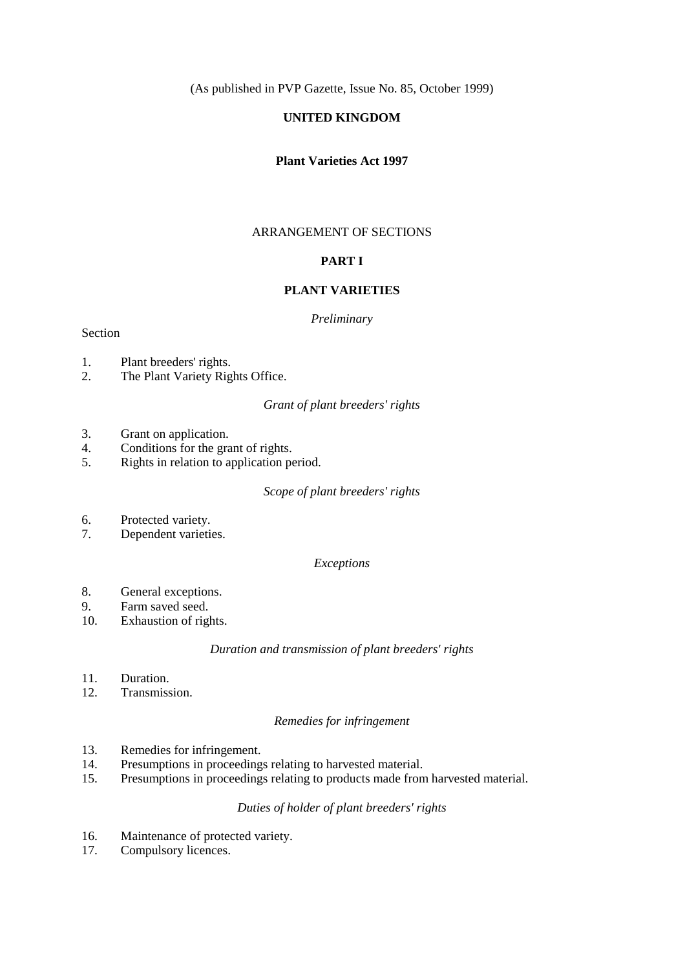(As published in PVP Gazette, Issue No. 85, October 1999)

# **UNITED KINGDOM**

# **Plant Varieties Act 1997**

## ARRANGEMENT OF SECTIONS

# **PART I**

## **PLANT VARIETIES**

### *Preliminary*

## Section

- 1. Plant breeders' rights.
- 2. The Plant Variety Rights Office.

## *Grant of plant breeders' rights*

- 3. Grant on application.
- 4. Conditions for the grant of rights.
- 5. Rights in relation to application period.

### *Scope of plant breeders' rights*

- 6. Protected variety.
- 7. Dependent varieties.

## *Exceptions*

- 8. General exceptions.
- 9. Farm saved seed.
- 10. Exhaustion of rights.

## *Duration and transmission of plant breeders' rights*

- 11. Duration.
- 12. Transmission.

#### *Remedies for infringement*

- 13. Remedies for infringement.
- 14. Presumptions in proceedings relating to harvested material.
- 15. Presumptions in proceedings relating to products made from harvested material.

# *Duties of holder of plant breeders' rights*

- 16. Maintenance of protected variety.
- 17. Compulsory licences.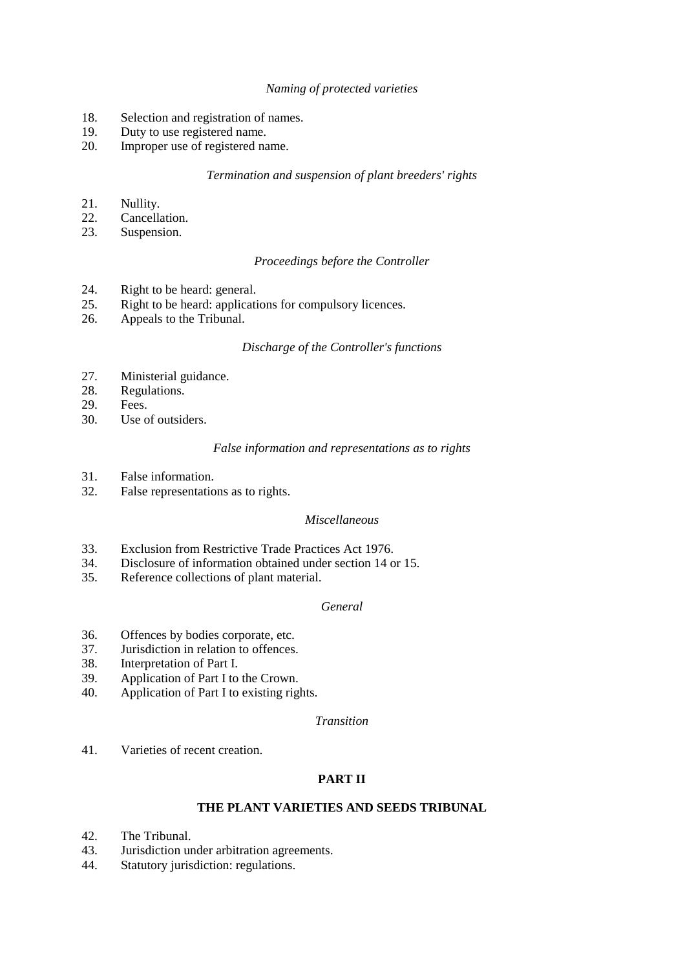# *Naming of protected varieties*

- 18. Selection and registration of names.
- 19. Duty to use registered name.
- 20. Improper use of registered name.

# *Termination and suspension of plant breeders' rights*

- 21. Nullity.
- 22. Cancellation.
- 23. Suspension.

# *Proceedings before the Controller*

- 24. Right to be heard: general.
- 25. Right to be heard: applications for compulsory licences.
- 26. Appeals to the Tribunal.

# *Discharge of the Controller's functions*

- 27. Ministerial guidance.
- 28. Regulations.
- 29. Fees.
- 30. Use of outsiders.

# *False information and representations as to rights*

- 31. False information.
- 32. False representations as to rights.

# *Miscellaneous*

- 33. Exclusion from Restrictive Trade Practices Act 1976.
- 34. Disclosure of information obtained under section 14 or 15.
- 35. Reference collections of plant material.

# *General*

- 36. Offences by bodies corporate, etc.
- 37. Jurisdiction in relation to offences.
- 38. Interpretation of Part I.
- 39. Application of Part I to the Crown.
- 40. Application of Part I to existing rights.

### *Transition*

41. Varieties of recent creation.

# **PART II**

# **THE PLANT VARIETIES AND SEEDS TRIBUNAL**

- 42. The Tribunal.
- 43. Jurisdiction under arbitration agreements.
- 44. Statutory jurisdiction: regulations.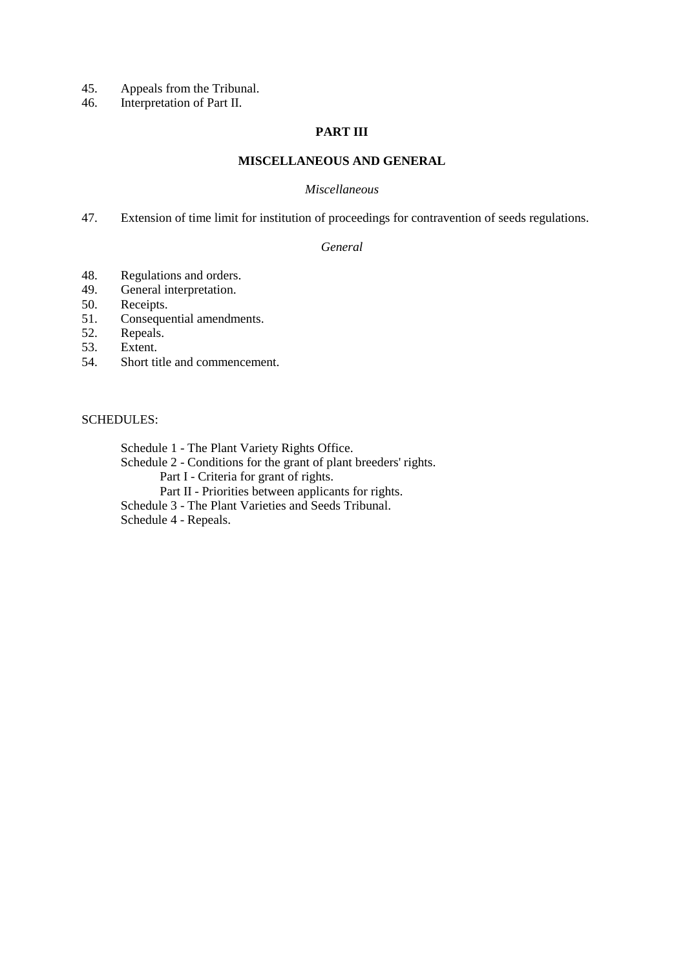- 45. Appeals from the Tribunal.<br>46. Interpretation of Part II.
- Interpretation of Part II.

## **PART III**

# **MISCELLANEOUS AND GENERAL**

### *Miscellaneous*

47. Extension of time limit for institution of proceedings for contravention of seeds regulations.

## *General*

- 48. Regulations and orders.
- 49. General interpretation.
- 50. Receipts.
- 51. Consequential amendments.
- 52. Repeals.<br>53. Extent.
- 53. Extent.<br>54. Short ti
- Short title and commencement.

# SCHEDULES:

Schedule 1 - The Plant Variety Rights Office.

Schedule 2 - Conditions for the grant of plant breeders' rights.

Part I - Criteria for grant of rights.

Part II - Priorities between applicants for rights.

Schedule 3 - The Plant Varieties and Seeds Tribunal.

Schedule 4 - Repeals.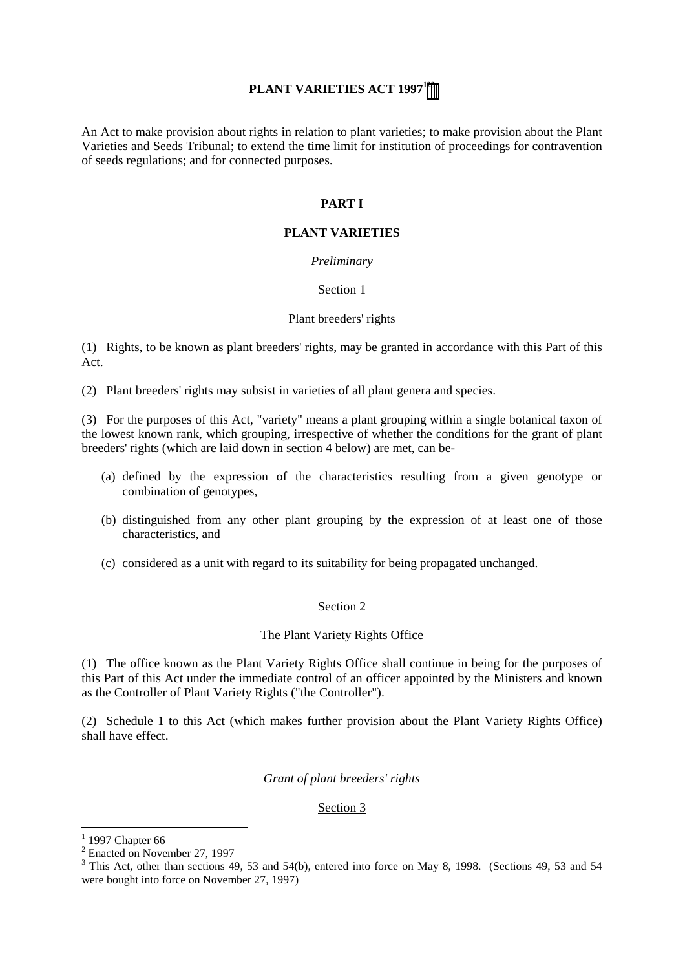# PLANT VARIETIES ACT 1997<sup>123</sup>

An Act to make provision about rights in relation to plant varieties; to make provision about the Plant Varieties and Seeds Tribunal; to extend the time limit for institution of proceedings for contravention of seeds regulations; and for connected purposes.

# **PART I**

# **PLANT VARIETIES**

## *Preliminary*

## Section 1

### Plant breeders' rights

(1) Rights, to be known as plant breeders' rights, may be granted in accordance with this Part of this Act.

(2) Plant breeders' rights may subsist in varieties of all plant genera and species.

(3) For the purposes of this Act, "variety" means a plant grouping within a single botanical taxon of the lowest known rank, which grouping, irrespective of whether the conditions for the grant of plant breeders' rights (which are laid down in section 4 below) are met, can be-

- (a) defined by the expression of the characteristics resulting from a given genotype or combination of genotypes,
- (b) distinguished from any other plant grouping by the expression of at least one of those characteristics, and
- (c) considered as a unit with regard to its suitability for being propagated unchanged.

### Section 2

### The Plant Variety Rights Office

(1) The office known as the Plant Variety Rights Office shall continue in being for the purposes of this Part of this Act under the immediate control of an officer appointed by the Ministers and known as the Controller of Plant Variety Rights ("the Controller").

(2) Schedule 1 to this Act (which makes further provision about the Plant Variety Rights Office) shall have effect.

### *Grant of plant breeders' rights*

### Section 3

 $\overline{a}$ 

<sup>1</sup> 1997 Chapter 66

<sup>&</sup>lt;sup>2</sup> Enacted on November 27, 1997

 $3$  This Act, other than sections 49, 53 and 54(b), entered into force on May 8, 1998. (Sections 49, 53 and 54 were bought into force on November 27, 1997)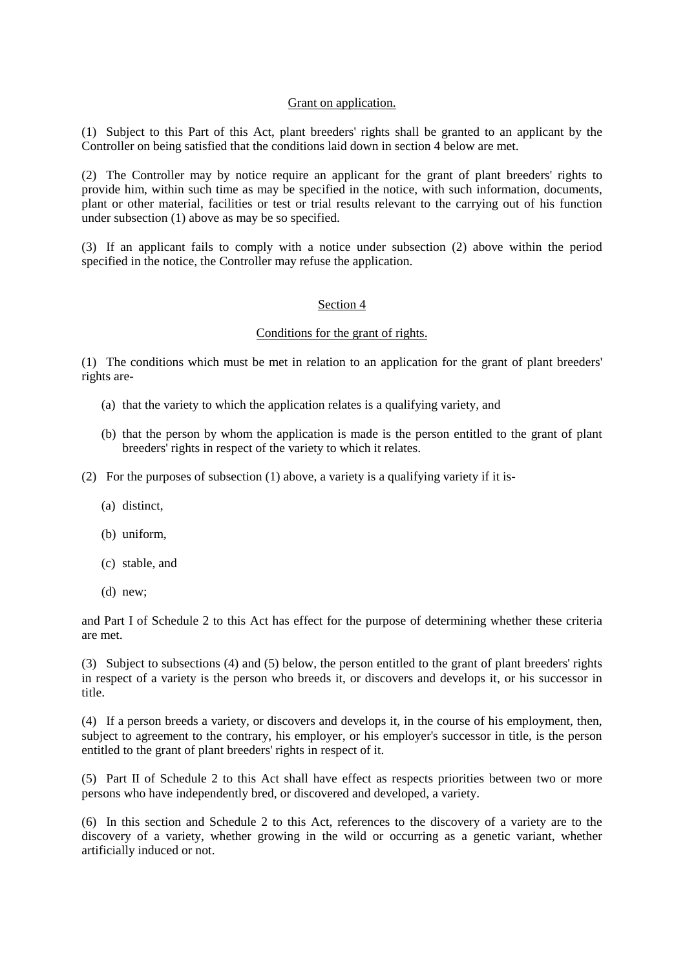## Grant on application.

(1) Subject to this Part of this Act, plant breeders' rights shall be granted to an applicant by the Controller on being satisfied that the conditions laid down in section 4 below are met.

(2) The Controller may by notice require an applicant for the grant of plant breeders' rights to provide him, within such time as may be specified in the notice, with such information, documents, plant or other material, facilities or test or trial results relevant to the carrying out of his function under subsection (1) above as may be so specified.

(3) If an applicant fails to comply with a notice under subsection (2) above within the period specified in the notice, the Controller may refuse the application.

### Section 4

### Conditions for the grant of rights.

(1) The conditions which must be met in relation to an application for the grant of plant breeders' rights are-

- (a) that the variety to which the application relates is a qualifying variety, and
- (b) that the person by whom the application is made is the person entitled to the grant of plant breeders' rights in respect of the variety to which it relates.
- (2) For the purposes of subsection (1) above, a variety is a qualifying variety if it is-
	- (a) distinct,
	- (b) uniform,
	- (c) stable, and
	- (d) new;

and Part I of Schedule 2 to this Act has effect for the purpose of determining whether these criteria are met.

(3) Subject to subsections (4) and (5) below, the person entitled to the grant of plant breeders' rights in respect of a variety is the person who breeds it, or discovers and develops it, or his successor in title.

(4) If a person breeds a variety, or discovers and develops it, in the course of his employment, then, subject to agreement to the contrary, his employer, or his employer's successor in title, is the person entitled to the grant of plant breeders' rights in respect of it.

(5) Part II of Schedule 2 to this Act shall have effect as respects priorities between two or more persons who have independently bred, or discovered and developed, a variety.

(6) In this section and Schedule 2 to this Act, references to the discovery of a variety are to the discovery of a variety, whether growing in the wild or occurring as a genetic variant, whether artificially induced or not.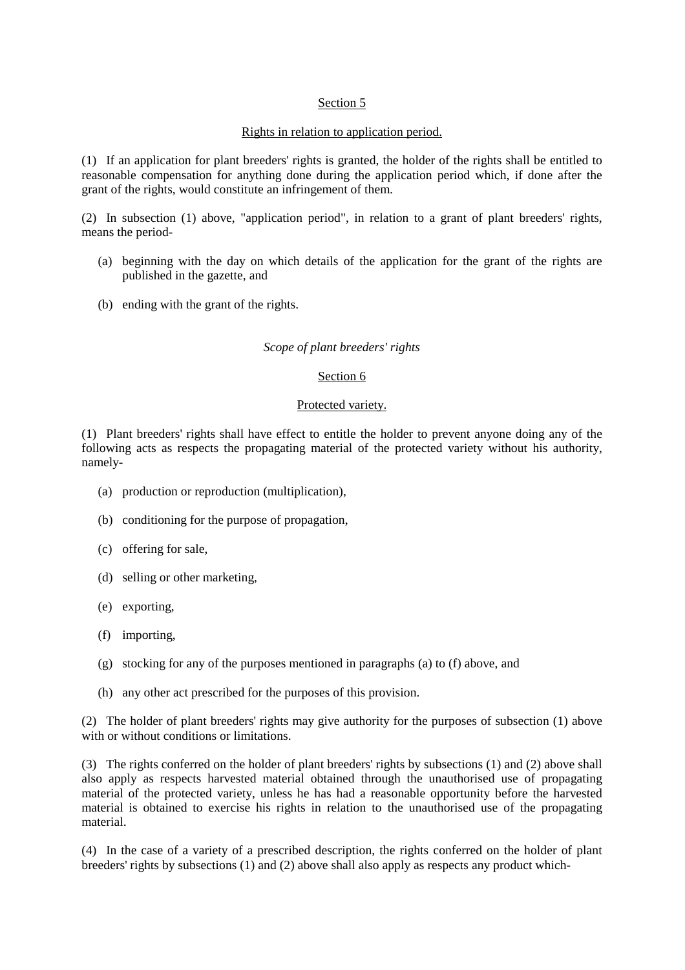# Section 5

## Rights in relation to application period.

(1) If an application for plant breeders' rights is granted, the holder of the rights shall be entitled to reasonable compensation for anything done during the application period which, if done after the grant of the rights, would constitute an infringement of them.

(2) In subsection (1) above, "application period", in relation to a grant of plant breeders' rights, means the period-

- (a) beginning with the day on which details of the application for the grant of the rights are published in the gazette, and
- (b) ending with the grant of the rights.

### *Scope of plant breeders' rights*

## Section 6

### Protected variety.

(1) Plant breeders' rights shall have effect to entitle the holder to prevent anyone doing any of the following acts as respects the propagating material of the protected variety without his authority, namely-

- (a) production or reproduction (multiplication),
- (b) conditioning for the purpose of propagation,
- (c) offering for sale,
- (d) selling or other marketing,
- (e) exporting,
- (f) importing,
- (g) stocking for any of the purposes mentioned in paragraphs (a) to (f) above, and
- (h) any other act prescribed for the purposes of this provision.

(2) The holder of plant breeders' rights may give authority for the purposes of subsection (1) above with or without conditions or limitations.

(3) The rights conferred on the holder of plant breeders' rights by subsections (1) and (2) above shall also apply as respects harvested material obtained through the unauthorised use of propagating material of the protected variety, unless he has had a reasonable opportunity before the harvested material is obtained to exercise his rights in relation to the unauthorised use of the propagating material.

(4) In the case of a variety of a prescribed description, the rights conferred on the holder of plant breeders' rights by subsections (1) and (2) above shall also apply as respects any product which-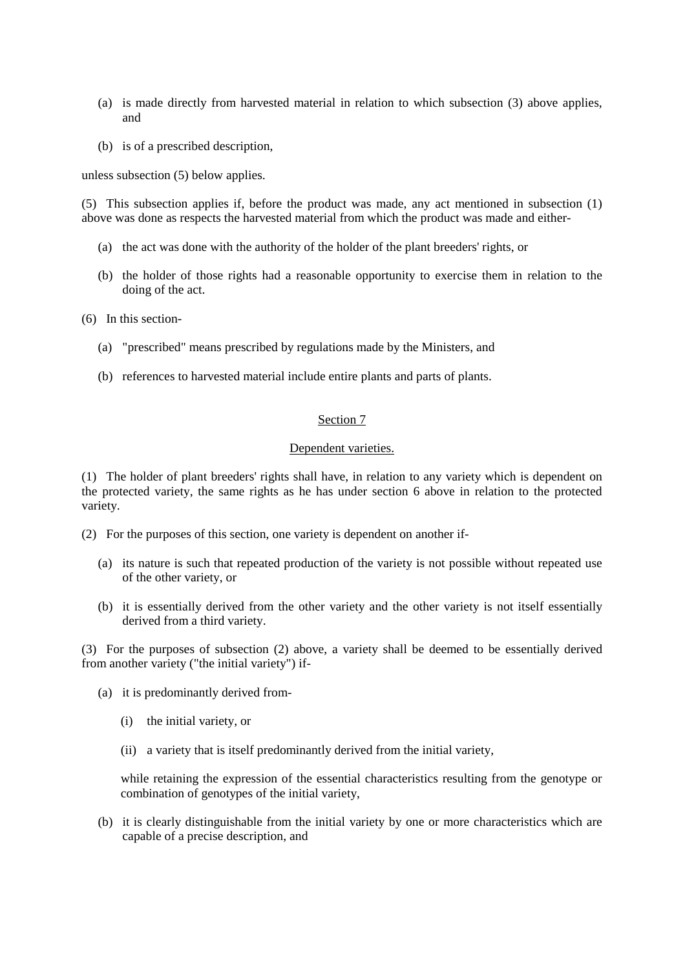- (a) is made directly from harvested material in relation to which subsection (3) above applies, and
- (b) is of a prescribed description,

unless subsection (5) below applies.

(5) This subsection applies if, before the product was made, any act mentioned in subsection (1) above was done as respects the harvested material from which the product was made and either-

- (a) the act was done with the authority of the holder of the plant breeders' rights, or
- (b) the holder of those rights had a reasonable opportunity to exercise them in relation to the doing of the act.
- (6) In this section-
	- (a) "prescribed" means prescribed by regulations made by the Ministers, and
	- (b) references to harvested material include entire plants and parts of plants.

## Section 7

## Dependent varieties.

(1) The holder of plant breeders' rights shall have, in relation to any variety which is dependent on the protected variety, the same rights as he has under section 6 above in relation to the protected variety.

- (2) For the purposes of this section, one variety is dependent on another if-
	- (a) its nature is such that repeated production of the variety is not possible without repeated use of the other variety, or
	- (b) it is essentially derived from the other variety and the other variety is not itself essentially derived from a third variety.

(3) For the purposes of subsection (2) above, a variety shall be deemed to be essentially derived from another variety ("the initial variety") if-

- (a) it is predominantly derived from-
	- (i) the initial variety, or
	- (ii) a variety that is itself predominantly derived from the initial variety,

while retaining the expression of the essential characteristics resulting from the genotype or combination of genotypes of the initial variety,

(b) it is clearly distinguishable from the initial variety by one or more characteristics which are capable of a precise description, and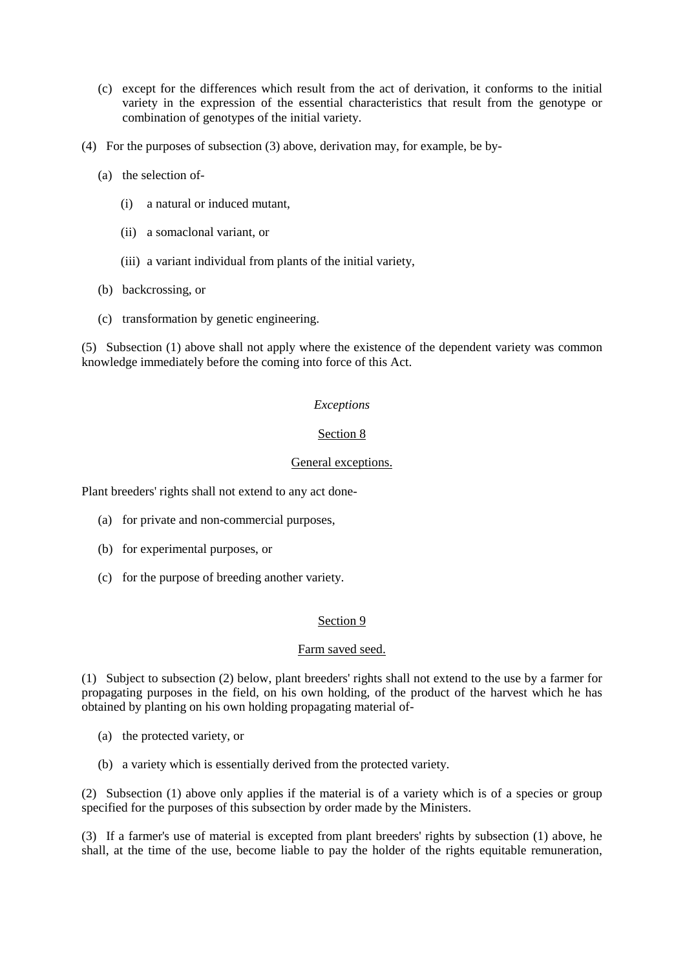- (c) except for the differences which result from the act of derivation, it conforms to the initial variety in the expression of the essential characteristics that result from the genotype or combination of genotypes of the initial variety.
- (4) For the purposes of subsection (3) above, derivation may, for example, be by-
	- (a) the selection of-
		- (i) a natural or induced mutant,
		- (ii) a somaclonal variant, or
		- (iii) a variant individual from plants of the initial variety,
	- (b) backcrossing, or
	- (c) transformation by genetic engineering.

(5) Subsection (1) above shall not apply where the existence of the dependent variety was common knowledge immediately before the coming into force of this Act.

## *Exceptions*

# Section 8

## General exceptions.

Plant breeders' rights shall not extend to any act done-

- (a) for private and non-commercial purposes,
- (b) for experimental purposes, or
- (c) for the purpose of breeding another variety.

### Section 9

### Farm saved seed.

(1) Subject to subsection (2) below, plant breeders' rights shall not extend to the use by a farmer for propagating purposes in the field, on his own holding, of the product of the harvest which he has obtained by planting on his own holding propagating material of-

- (a) the protected variety, or
- (b) a variety which is essentially derived from the protected variety.

(2) Subsection (1) above only applies if the material is of a variety which is of a species or group specified for the purposes of this subsection by order made by the Ministers.

(3) If a farmer's use of material is excepted from plant breeders' rights by subsection (1) above, he shall, at the time of the use, become liable to pay the holder of the rights equitable remuneration,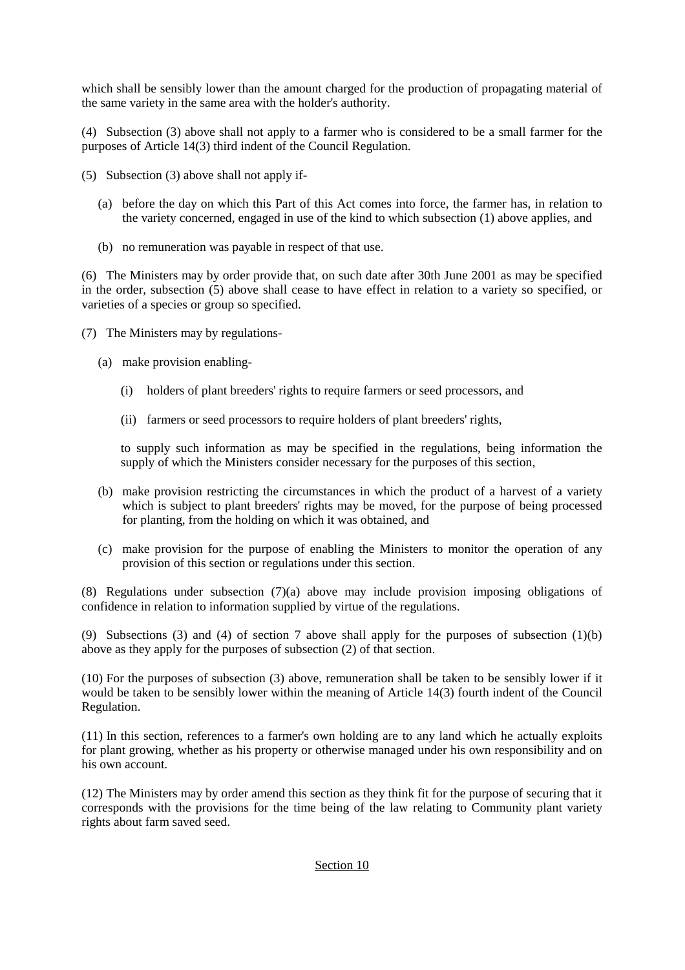which shall be sensibly lower than the amount charged for the production of propagating material of the same variety in the same area with the holder's authority.

(4) Subsection (3) above shall not apply to a farmer who is considered to be a small farmer for the purposes of Article 14(3) third indent of the Council Regulation.

- (5) Subsection (3) above shall not apply if-
	- (a) before the day on which this Part of this Act comes into force, the farmer has, in relation to the variety concerned, engaged in use of the kind to which subsection (1) above applies, and
	- (b) no remuneration was payable in respect of that use.

(6) The Ministers may by order provide that, on such date after 30th June 2001 as may be specified in the order, subsection (5) above shall cease to have effect in relation to a variety so specified, or varieties of a species or group so specified.

- (7) The Ministers may by regulations-
	- (a) make provision enabling-
		- (i) holders of plant breeders' rights to require farmers or seed processors, and
		- (ii) farmers or seed processors to require holders of plant breeders' rights,

to supply such information as may be specified in the regulations, being information the supply of which the Ministers consider necessary for the purposes of this section,

- (b) make provision restricting the circumstances in which the product of a harvest of a variety which is subject to plant breeders' rights may be moved, for the purpose of being processed for planting, from the holding on which it was obtained, and
- (c) make provision for the purpose of enabling the Ministers to monitor the operation of any provision of this section or regulations under this section.

(8) Regulations under subsection (7)(a) above may include provision imposing obligations of confidence in relation to information supplied by virtue of the regulations.

(9) Subsections (3) and (4) of section 7 above shall apply for the purposes of subsection (1)(b) above as they apply for the purposes of subsection (2) of that section.

(10) For the purposes of subsection (3) above, remuneration shall be taken to be sensibly lower if it would be taken to be sensibly lower within the meaning of Article 14(3) fourth indent of the Council Regulation.

(11) In this section, references to a farmer's own holding are to any land which he actually exploits for plant growing, whether as his property or otherwise managed under his own responsibility and on his own account.

(12) The Ministers may by order amend this section as they think fit for the purpose of securing that it corresponds with the provisions for the time being of the law relating to Community plant variety rights about farm saved seed.

# Section 10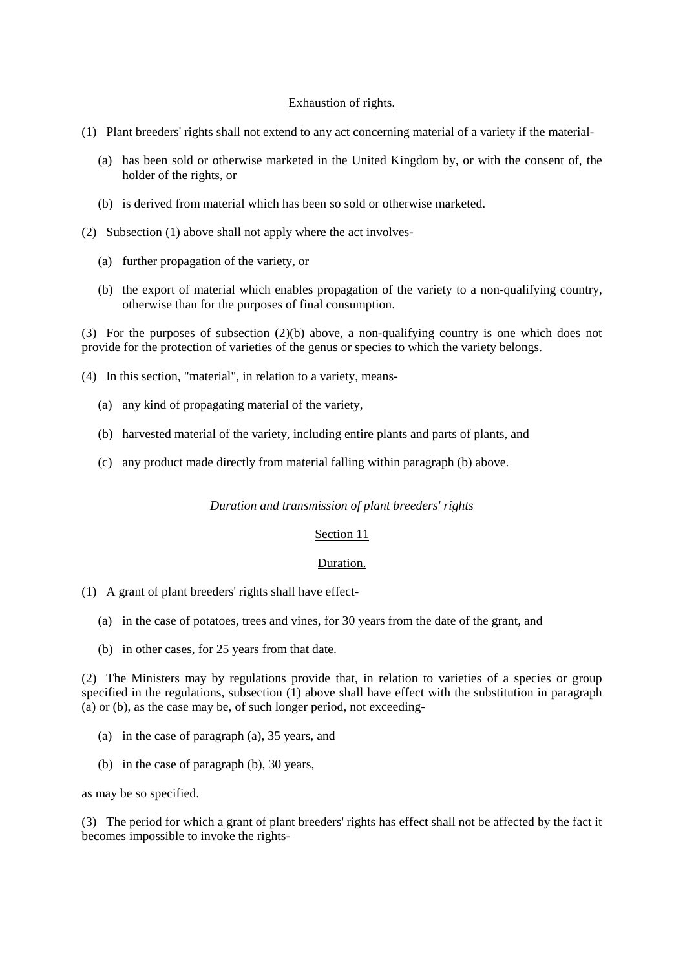## Exhaustion of rights.

- (1) Plant breeders' rights shall not extend to any act concerning material of a variety if the material-
	- (a) has been sold or otherwise marketed in the United Kingdom by, or with the consent of, the holder of the rights, or
	- (b) is derived from material which has been so sold or otherwise marketed.
- (2) Subsection (1) above shall not apply where the act involves-
	- (a) further propagation of the variety, or
	- (b) the export of material which enables propagation of the variety to a non-qualifying country, otherwise than for the purposes of final consumption.

(3) For the purposes of subsection (2)(b) above, a non-qualifying country is one which does not provide for the protection of varieties of the genus or species to which the variety belongs.

- (4) In this section, "material", in relation to a variety, means-
	- (a) any kind of propagating material of the variety,
	- (b) harvested material of the variety, including entire plants and parts of plants, and
	- (c) any product made directly from material falling within paragraph (b) above.

#### *Duration and transmission of plant breeders' rights*

### Section 11

### Duration.

- (1) A grant of plant breeders' rights shall have effect-
	- (a) in the case of potatoes, trees and vines, for 30 years from the date of the grant, and
	- (b) in other cases, for 25 years from that date.

(2) The Ministers may by regulations provide that, in relation to varieties of a species or group specified in the regulations, subsection (1) above shall have effect with the substitution in paragraph (a) or (b), as the case may be, of such longer period, not exceeding-

- (a) in the case of paragraph (a), 35 years, and
- (b) in the case of paragraph (b), 30 years,

as may be so specified.

(3) The period for which a grant of plant breeders' rights has effect shall not be affected by the fact it becomes impossible to invoke the rights-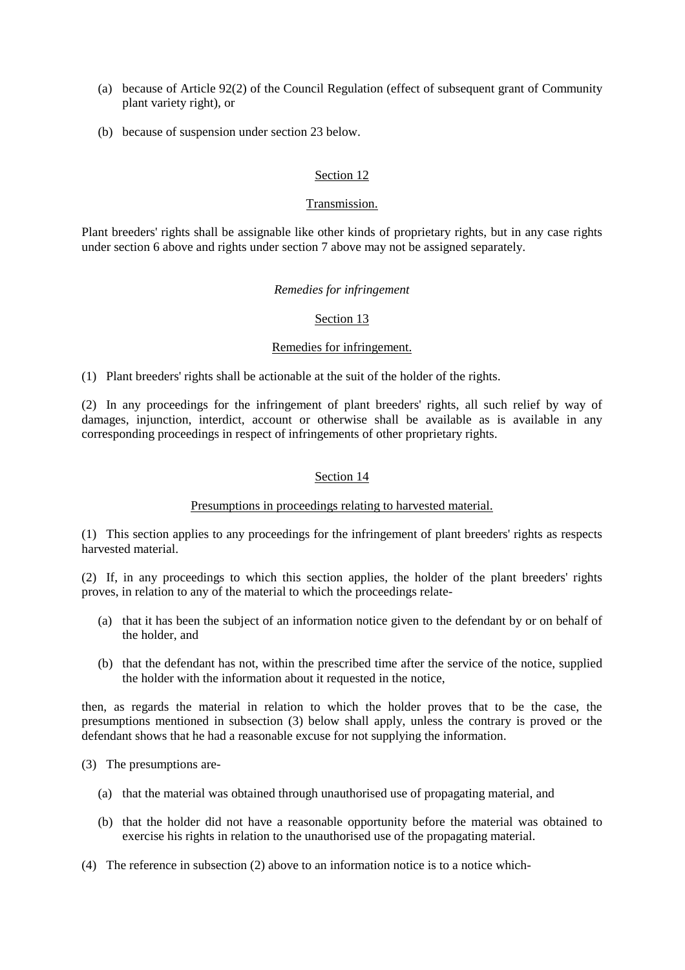- (a) because of Article 92(2) of the Council Regulation (effect of subsequent grant of Community plant variety right), or
- (b) because of suspension under section 23 below.

# Section 12

# Transmission.

Plant breeders' rights shall be assignable like other kinds of proprietary rights, but in any case rights under section 6 above and rights under section 7 above may not be assigned separately.

## *Remedies for infringement*

## Section 13

# Remedies for infringement.

(1) Plant breeders' rights shall be actionable at the suit of the holder of the rights.

(2) In any proceedings for the infringement of plant breeders' rights, all such relief by way of damages, injunction, interdict, account or otherwise shall be available as is available in any corresponding proceedings in respect of infringements of other proprietary rights.

# Section 14

# Presumptions in proceedings relating to harvested material.

(1) This section applies to any proceedings for the infringement of plant breeders' rights as respects harvested material.

(2) If, in any proceedings to which this section applies, the holder of the plant breeders' rights proves, in relation to any of the material to which the proceedings relate-

- (a) that it has been the subject of an information notice given to the defendant by or on behalf of the holder, and
- (b) that the defendant has not, within the prescribed time after the service of the notice, supplied the holder with the information about it requested in the notice,

then, as regards the material in relation to which the holder proves that to be the case, the presumptions mentioned in subsection (3) below shall apply, unless the contrary is proved or the defendant shows that he had a reasonable excuse for not supplying the information.

(3) The presumptions are-

- (a) that the material was obtained through unauthorised use of propagating material, and
- (b) that the holder did not have a reasonable opportunity before the material was obtained to exercise his rights in relation to the unauthorised use of the propagating material.
- (4) The reference in subsection (2) above to an information notice is to a notice which-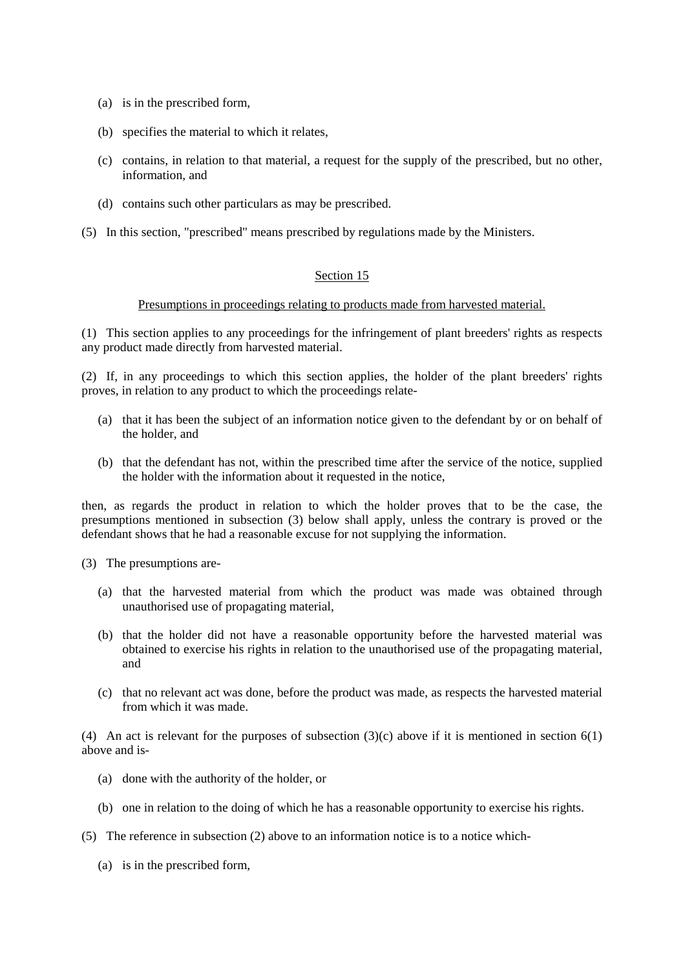- (a) is in the prescribed form,
- (b) specifies the material to which it relates,
- (c) contains, in relation to that material, a request for the supply of the prescribed, but no other, information, and
- (d) contains such other particulars as may be prescribed.
- (5) In this section, "prescribed" means prescribed by regulations made by the Ministers.

# Section 15

### Presumptions in proceedings relating to products made from harvested material.

(1) This section applies to any proceedings for the infringement of plant breeders' rights as respects any product made directly from harvested material.

(2) If, in any proceedings to which this section applies, the holder of the plant breeders' rights proves, in relation to any product to which the proceedings relate-

- (a) that it has been the subject of an information notice given to the defendant by or on behalf of the holder, and
- (b) that the defendant has not, within the prescribed time after the service of the notice, supplied the holder with the information about it requested in the notice,

then, as regards the product in relation to which the holder proves that to be the case, the presumptions mentioned in subsection (3) below shall apply, unless the contrary is proved or the defendant shows that he had a reasonable excuse for not supplying the information.

- (3) The presumptions are-
	- (a) that the harvested material from which the product was made was obtained through unauthorised use of propagating material,
	- (b) that the holder did not have a reasonable opportunity before the harvested material was obtained to exercise his rights in relation to the unauthorised use of the propagating material, and
	- (c) that no relevant act was done, before the product was made, as respects the harvested material from which it was made.

(4) An act is relevant for the purposes of subsection  $(3)(c)$  above if it is mentioned in section  $6(1)$ above and is-

- (a) done with the authority of the holder, or
- (b) one in relation to the doing of which he has a reasonable opportunity to exercise his rights.
- (5) The reference in subsection (2) above to an information notice is to a notice which-
	- (a) is in the prescribed form,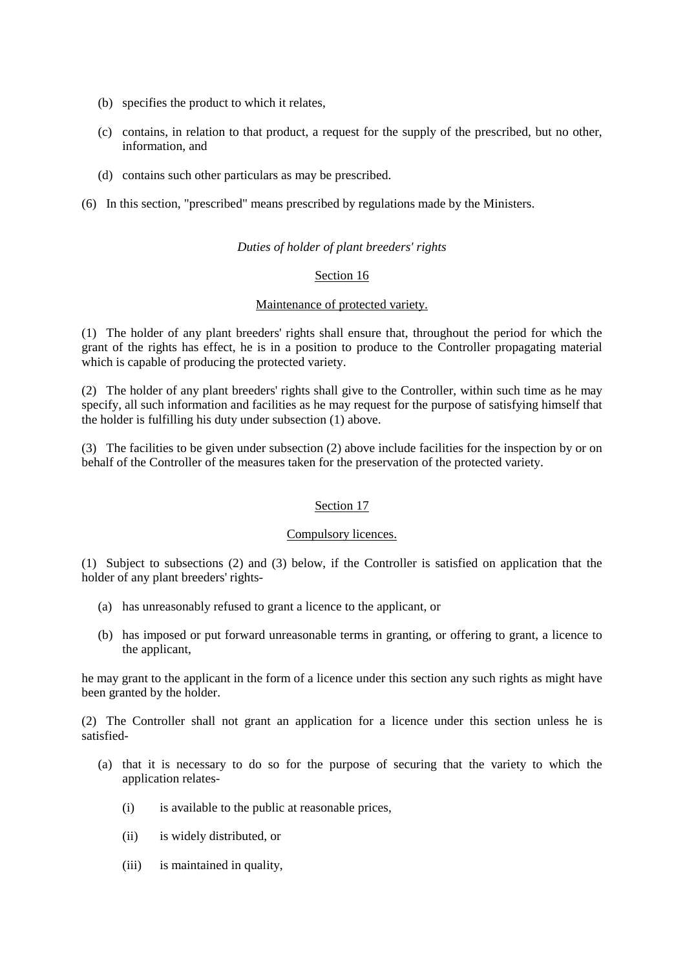- (b) specifies the product to which it relates,
- (c) contains, in relation to that product, a request for the supply of the prescribed, but no other, information, and
- (d) contains such other particulars as may be prescribed.
- (6) In this section, "prescribed" means prescribed by regulations made by the Ministers.

# *Duties of holder of plant breeders' rights*

## Section 16

### Maintenance of protected variety.

(1) The holder of any plant breeders' rights shall ensure that, throughout the period for which the grant of the rights has effect, he is in a position to produce to the Controller propagating material which is capable of producing the protected variety.

(2) The holder of any plant breeders' rights shall give to the Controller, within such time as he may specify, all such information and facilities as he may request for the purpose of satisfying himself that the holder is fulfilling his duty under subsection (1) above.

(3) The facilities to be given under subsection (2) above include facilities for the inspection by or on behalf of the Controller of the measures taken for the preservation of the protected variety.

### Section 17

### Compulsory licences.

(1) Subject to subsections (2) and (3) below, if the Controller is satisfied on application that the holder of any plant breeders' rights-

- (a) has unreasonably refused to grant a licence to the applicant, or
- (b) has imposed or put forward unreasonable terms in granting, or offering to grant, a licence to the applicant,

he may grant to the applicant in the form of a licence under this section any such rights as might have been granted by the holder.

(2) The Controller shall not grant an application for a licence under this section unless he is satisfied-

- (a) that it is necessary to do so for the purpose of securing that the variety to which the application relates-
	- (i) is available to the public at reasonable prices,
	- (ii) is widely distributed, or
	- (iii) is maintained in quality,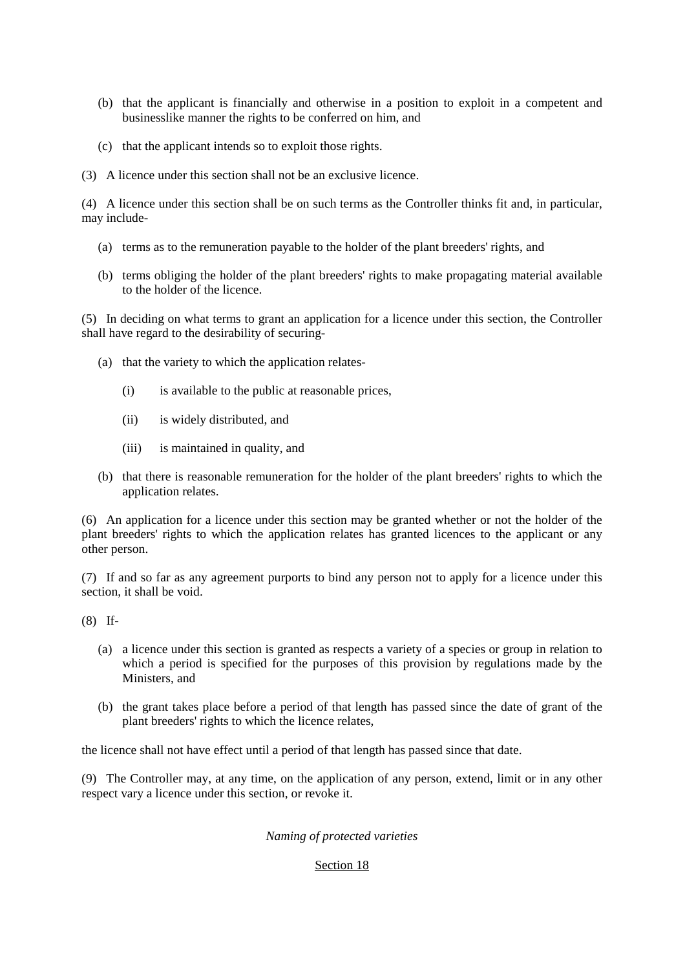- (b) that the applicant is financially and otherwise in a position to exploit in a competent and businesslike manner the rights to be conferred on him, and
- (c) that the applicant intends so to exploit those rights.
- (3) A licence under this section shall not be an exclusive licence.

(4) A licence under this section shall be on such terms as the Controller thinks fit and, in particular, may include-

- (a) terms as to the remuneration payable to the holder of the plant breeders' rights, and
- (b) terms obliging the holder of the plant breeders' rights to make propagating material available to the holder of the licence.

(5) In deciding on what terms to grant an application for a licence under this section, the Controller shall have regard to the desirability of securing-

- (a) that the variety to which the application relates-
	- (i) is available to the public at reasonable prices,
	- (ii) is widely distributed, and
	- (iii) is maintained in quality, and
- (b) that there is reasonable remuneration for the holder of the plant breeders' rights to which the application relates.

(6) An application for a licence under this section may be granted whether or not the holder of the plant breeders' rights to which the application relates has granted licences to the applicant or any other person.

(7) If and so far as any agreement purports to bind any person not to apply for a licence under this section, it shall be void.

(8) If-

- (a) a licence under this section is granted as respects a variety of a species or group in relation to which a period is specified for the purposes of this provision by regulations made by the Ministers, and
- (b) the grant takes place before a period of that length has passed since the date of grant of the plant breeders' rights to which the licence relates,

the licence shall not have effect until a period of that length has passed since that date.

(9) The Controller may, at any time, on the application of any person, extend, limit or in any other respect vary a licence under this section, or revoke it.

# *Naming of protected varieties*

# Section 18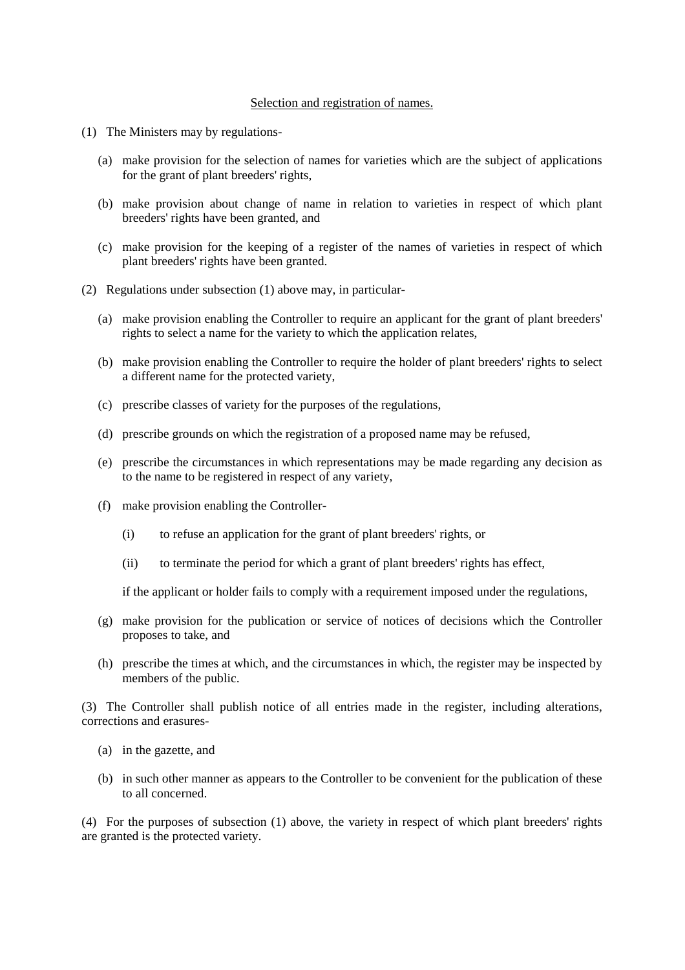## Selection and registration of names.

- (1) The Ministers may by regulations-
	- (a) make provision for the selection of names for varieties which are the subject of applications for the grant of plant breeders' rights,
	- (b) make provision about change of name in relation to varieties in respect of which plant breeders' rights have been granted, and
	- (c) make provision for the keeping of a register of the names of varieties in respect of which plant breeders' rights have been granted.
- (2) Regulations under subsection (1) above may, in particular-
	- (a) make provision enabling the Controller to require an applicant for the grant of plant breeders' rights to select a name for the variety to which the application relates,
	- (b) make provision enabling the Controller to require the holder of plant breeders' rights to select a different name for the protected variety,
	- (c) prescribe classes of variety for the purposes of the regulations,
	- (d) prescribe grounds on which the registration of a proposed name may be refused,
	- (e) prescribe the circumstances in which representations may be made regarding any decision as to the name to be registered in respect of any variety,
	- (f) make provision enabling the Controller-
		- (i) to refuse an application for the grant of plant breeders' rights, or
		- (ii) to terminate the period for which a grant of plant breeders' rights has effect,

if the applicant or holder fails to comply with a requirement imposed under the regulations,

- (g) make provision for the publication or service of notices of decisions which the Controller proposes to take, and
- (h) prescribe the times at which, and the circumstances in which, the register may be inspected by members of the public.

(3) The Controller shall publish notice of all entries made in the register, including alterations, corrections and erasures-

- (a) in the gazette, and
- (b) in such other manner as appears to the Controller to be convenient for the publication of these to all concerned.

(4) For the purposes of subsection (1) above, the variety in respect of which plant breeders' rights are granted is the protected variety.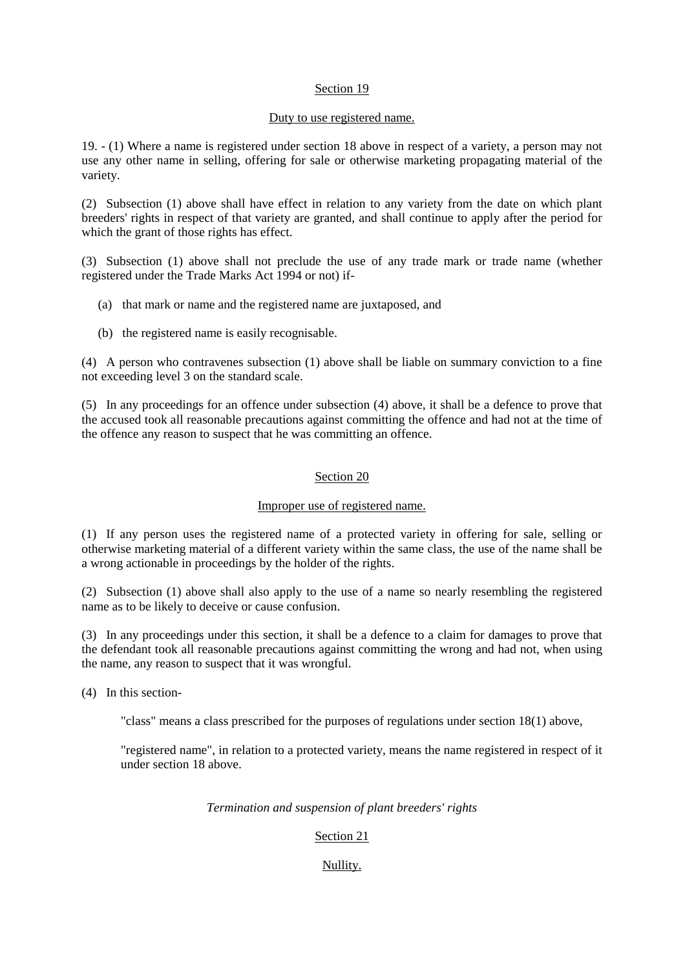## Section 19

### Duty to use registered name.

19. - (1) Where a name is registered under section 18 above in respect of a variety, a person may not use any other name in selling, offering for sale or otherwise marketing propagating material of the variety.

(2) Subsection (1) above shall have effect in relation to any variety from the date on which plant breeders' rights in respect of that variety are granted, and shall continue to apply after the period for which the grant of those rights has effect.

(3) Subsection (1) above shall not preclude the use of any trade mark or trade name (whether registered under the Trade Marks Act 1994 or not) if-

- (a) that mark or name and the registered name are juxtaposed, and
- (b) the registered name is easily recognisable.

(4) A person who contravenes subsection (1) above shall be liable on summary conviction to a fine not exceeding level 3 on the standard scale.

(5) In any proceedings for an offence under subsection (4) above, it shall be a defence to prove that the accused took all reasonable precautions against committing the offence and had not at the time of the offence any reason to suspect that he was committing an offence.

# Section 20

# Improper use of registered name.

(1) If any person uses the registered name of a protected variety in offering for sale, selling or otherwise marketing material of a different variety within the same class, the use of the name shall be a wrong actionable in proceedings by the holder of the rights.

(2) Subsection (1) above shall also apply to the use of a name so nearly resembling the registered name as to be likely to deceive or cause confusion.

(3) In any proceedings under this section, it shall be a defence to a claim for damages to prove that the defendant took all reasonable precautions against committing the wrong and had not, when using the name, any reason to suspect that it was wrongful.

(4) In this section-

"class" means a class prescribed for the purposes of regulations under section 18(1) above,

"registered name", in relation to a protected variety, means the name registered in respect of it under section 18 above.

# *Termination and suspension of plant breeders' rights*

# Section 21

# Nullity.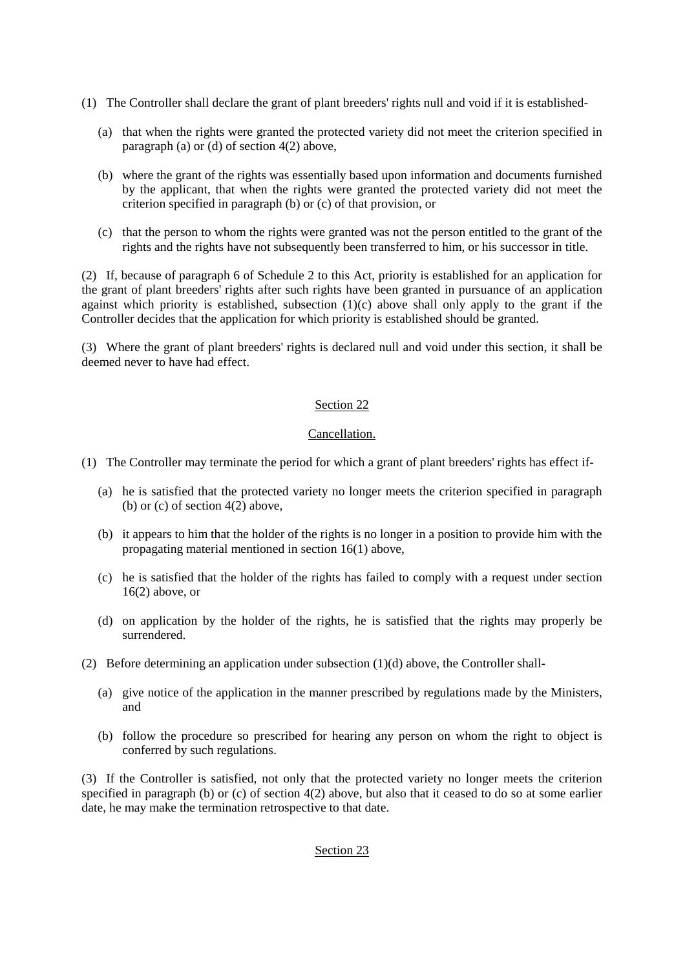- (1) The Controller shall declare the grant of plant breeders' rights null and void if it is established-
	- (a) that when the rights were granted the protected variety did not meet the criterion specified in paragraph (a) or (d) of section 4(2) above,
	- (b) where the grant of the rights was essentially based upon information and documents furnished by the applicant, that when the rights were granted the protected variety did not meet the criterion specified in paragraph (b) or (c) of that provision, or
	- (c) that the person to whom the rights were granted was not the person entitled to the grant of the rights and the rights have not subsequently been transferred to him, or his successor in title.

(2) If, because of paragraph 6 of Schedule 2 to this Act, priority is established for an application for the grant of plant breeders' rights after such rights have been granted in pursuance of an application against which priority is established, subsection (1)(c) above shall only apply to the grant if the Controller decides that the application for which priority is established should be granted.

(3) Where the grant of plant breeders' rights is declared null and void under this section, it shall be deemed never to have had effect.

# Section 22

# Cancellation.

- (1) The Controller may terminate the period for which a grant of plant breeders' rights has effect if-
	- (a) he is satisfied that the protected variety no longer meets the criterion specified in paragraph (b) or (c) of section  $4(2)$  above,
	- (b) it appears to him that the holder of the rights is no longer in a position to provide him with the propagating material mentioned in section 16(1) above,
	- (c) he is satisfied that the holder of the rights has failed to comply with a request under section  $16(2)$  above, or
	- (d) on application by the holder of the rights, he is satisfied that the rights may properly be surrendered.
- (2) Before determining an application under subsection (1)(d) above, the Controller shall-
	- (a) give notice of the application in the manner prescribed by regulations made by the Ministers, and
	- (b) follow the procedure so prescribed for hearing any person on whom the right to object is conferred by such regulations.

(3) If the Controller is satisfied, not only that the protected variety no longer meets the criterion specified in paragraph (b) or (c) of section 4(2) above, but also that it ceased to do so at some earlier date, he may make the termination retrospective to that date.

# Section 23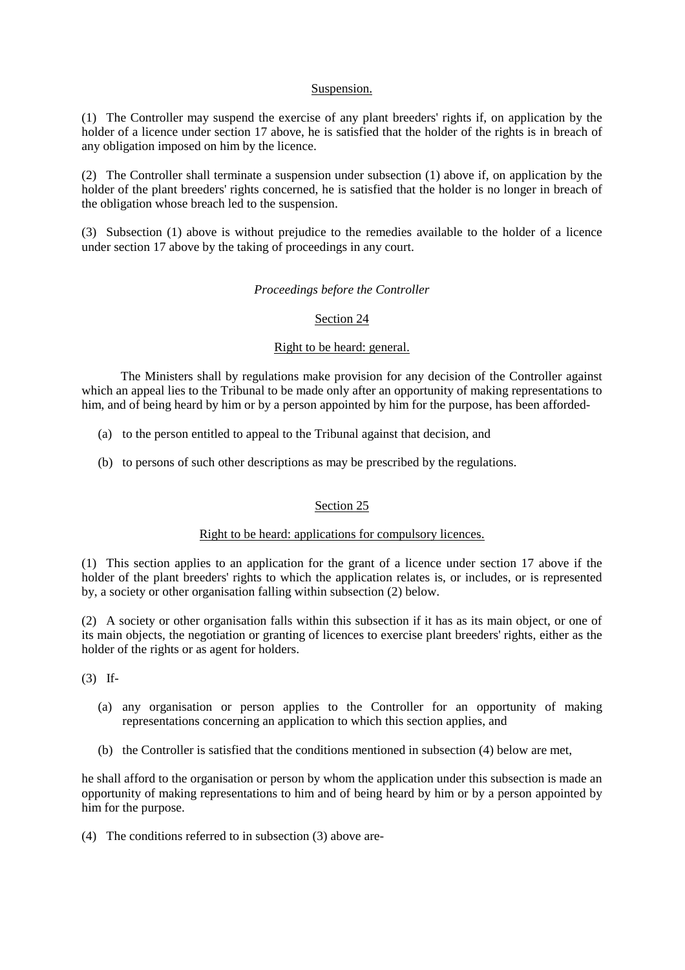# Suspension.

(1) The Controller may suspend the exercise of any plant breeders' rights if, on application by the holder of a licence under section 17 above, he is satisfied that the holder of the rights is in breach of any obligation imposed on him by the licence.

(2) The Controller shall terminate a suspension under subsection (1) above if, on application by the holder of the plant breeders' rights concerned, he is satisfied that the holder is no longer in breach of the obligation whose breach led to the suspension.

(3) Subsection (1) above is without prejudice to the remedies available to the holder of a licence under section 17 above by the taking of proceedings in any court.

### *Proceedings before the Controller*

### Section 24

## Right to be heard: general.

The Ministers shall by regulations make provision for any decision of the Controller against which an appeal lies to the Tribunal to be made only after an opportunity of making representations to him, and of being heard by him or by a person appointed by him for the purpose, has been afforded-

- (a) to the person entitled to appeal to the Tribunal against that decision, and
- (b) to persons of such other descriptions as may be prescribed by the regulations.

# Section 25

## Right to be heard: applications for compulsory licences.

(1) This section applies to an application for the grant of a licence under section 17 above if the holder of the plant breeders' rights to which the application relates is, or includes, or is represented by, a society or other organisation falling within subsection (2) below.

(2) A society or other organisation falls within this subsection if it has as its main object, or one of its main objects, the negotiation or granting of licences to exercise plant breeders' rights, either as the holder of the rights or as agent for holders.

(3) If-

- (a) any organisation or person applies to the Controller for an opportunity of making representations concerning an application to which this section applies, and
- (b) the Controller is satisfied that the conditions mentioned in subsection (4) below are met,

he shall afford to the organisation or person by whom the application under this subsection is made an opportunity of making representations to him and of being heard by him or by a person appointed by him for the purpose.

(4) The conditions referred to in subsection (3) above are-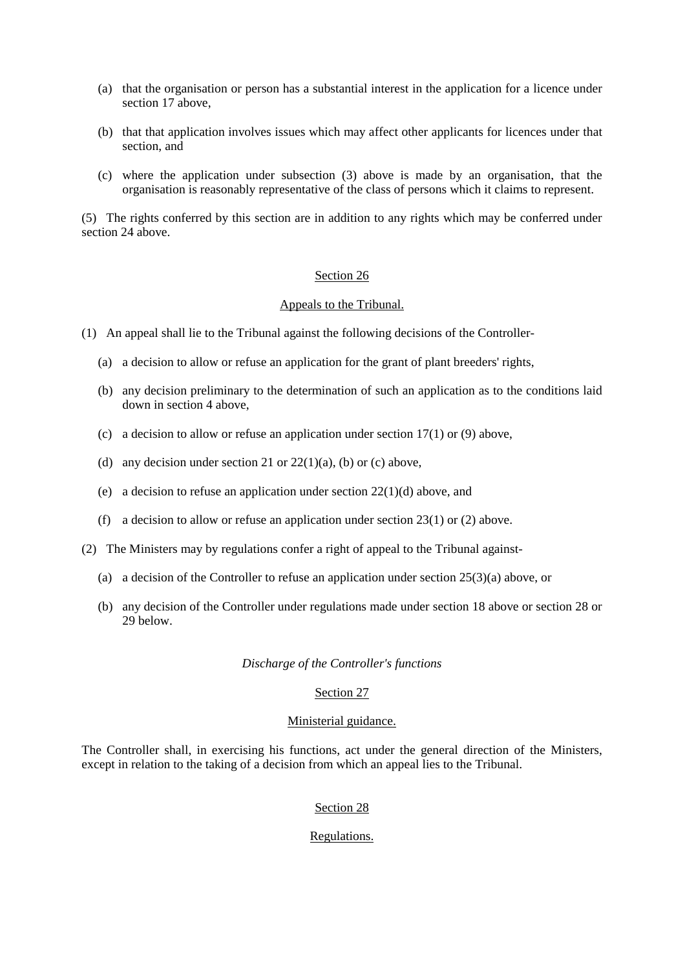- (a) that the organisation or person has a substantial interest in the application for a licence under section 17 above,
- (b) that that application involves issues which may affect other applicants for licences under that section, and
- (c) where the application under subsection (3) above is made by an organisation, that the organisation is reasonably representative of the class of persons which it claims to represent.

(5) The rights conferred by this section are in addition to any rights which may be conferred under section 24 above.

#### Section 26

#### Appeals to the Tribunal.

(1) An appeal shall lie to the Tribunal against the following decisions of the Controller-

- (a) a decision to allow or refuse an application for the grant of plant breeders' rights,
- (b) any decision preliminary to the determination of such an application as to the conditions laid down in section 4 above,
- (c) a decision to allow or refuse an application under section  $17(1)$  or (9) above,
- (d) any decision under section 21 or  $22(1)(a)$ , (b) or (c) above,
- (e) a decision to refuse an application under section 22(1)(d) above, and
- (f) a decision to allow or refuse an application under section 23(1) or (2) above.
- (2) The Ministers may by regulations confer a right of appeal to the Tribunal against-
	- (a) a decision of the Controller to refuse an application under section 25(3)(a) above, or
	- (b) any decision of the Controller under regulations made under section 18 above or section 28 or 29 below.

# *Discharge of the Controller's functions*

# Section 27

### Ministerial guidance.

The Controller shall, in exercising his functions, act under the general direction of the Ministers, except in relation to the taking of a decision from which an appeal lies to the Tribunal.

### Section 28

# Regulations.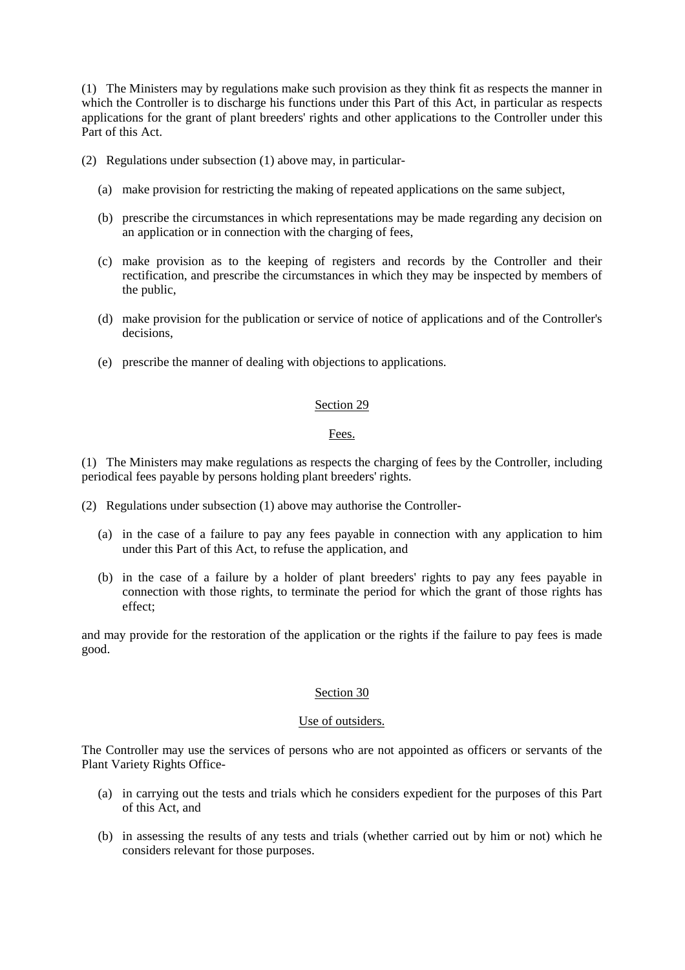(1) The Ministers may by regulations make such provision as they think fit as respects the manner in which the Controller is to discharge his functions under this Part of this Act, in particular as respects applications for the grant of plant breeders' rights and other applications to the Controller under this Part of this Act.

(2) Regulations under subsection (1) above may, in particular-

- (a) make provision for restricting the making of repeated applications on the same subject,
- (b) prescribe the circumstances in which representations may be made regarding any decision on an application or in connection with the charging of fees,
- (c) make provision as to the keeping of registers and records by the Controller and their rectification, and prescribe the circumstances in which they may be inspected by members of the public,
- (d) make provision for the publication or service of notice of applications and of the Controller's decisions,
- (e) prescribe the manner of dealing with objections to applications.

## Section 29

# Fees.

(1) The Ministers may make regulations as respects the charging of fees by the Controller, including periodical fees payable by persons holding plant breeders' rights.

- (2) Regulations under subsection (1) above may authorise the Controller-
	- (a) in the case of a failure to pay any fees payable in connection with any application to him under this Part of this Act, to refuse the application, and
	- (b) in the case of a failure by a holder of plant breeders' rights to pay any fees payable in connection with those rights, to terminate the period for which the grant of those rights has effect;

and may provide for the restoration of the application or the rights if the failure to pay fees is made good.

# Section 30

# Use of outsiders.

The Controller may use the services of persons who are not appointed as officers or servants of the Plant Variety Rights Office-

- (a) in carrying out the tests and trials which he considers expedient for the purposes of this Part of this Act, and
- (b) in assessing the results of any tests and trials (whether carried out by him or not) which he considers relevant for those purposes.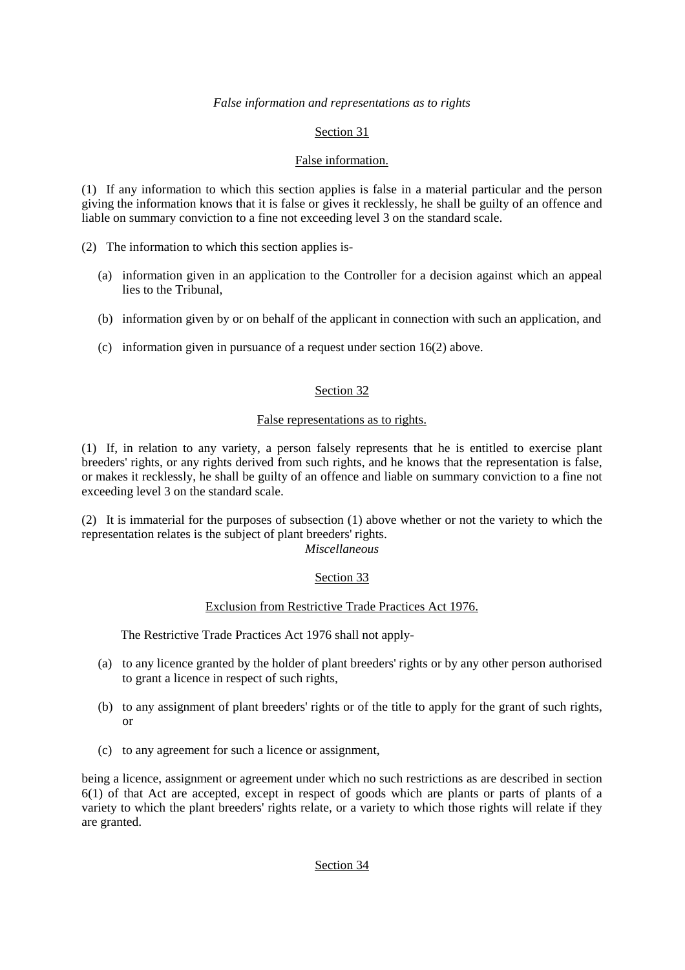# *False information and representations as to rights*

# Section 31

# False information.

(1) If any information to which this section applies is false in a material particular and the person giving the information knows that it is false or gives it recklessly, he shall be guilty of an offence and liable on summary conviction to a fine not exceeding level 3 on the standard scale.

(2) The information to which this section applies is-

- (a) information given in an application to the Controller for a decision against which an appeal lies to the Tribunal,
- (b) information given by or on behalf of the applicant in connection with such an application, and
- (c) information given in pursuance of a request under section 16(2) above.

# Section 32

# False representations as to rights.

(1) If, in relation to any variety, a person falsely represents that he is entitled to exercise plant breeders' rights, or any rights derived from such rights, and he knows that the representation is false, or makes it recklessly, he shall be guilty of an offence and liable on summary conviction to a fine not exceeding level 3 on the standard scale.

(2) It is immaterial for the purposes of subsection (1) above whether or not the variety to which the representation relates is the subject of plant breeders' rights.

# *Miscellaneous*

# Section 33

# Exclusion from Restrictive Trade Practices Act 1976.

The Restrictive Trade Practices Act 1976 shall not apply-

- (a) to any licence granted by the holder of plant breeders' rights or by any other person authorised to grant a licence in respect of such rights,
- (b) to any assignment of plant breeders' rights or of the title to apply for the grant of such rights, or
- (c) to any agreement for such a licence or assignment,

being a licence, assignment or agreement under which no such restrictions as are described in section 6(1) of that Act are accepted, except in respect of goods which are plants or parts of plants of a variety to which the plant breeders' rights relate, or a variety to which those rights will relate if they are granted.

# Section 34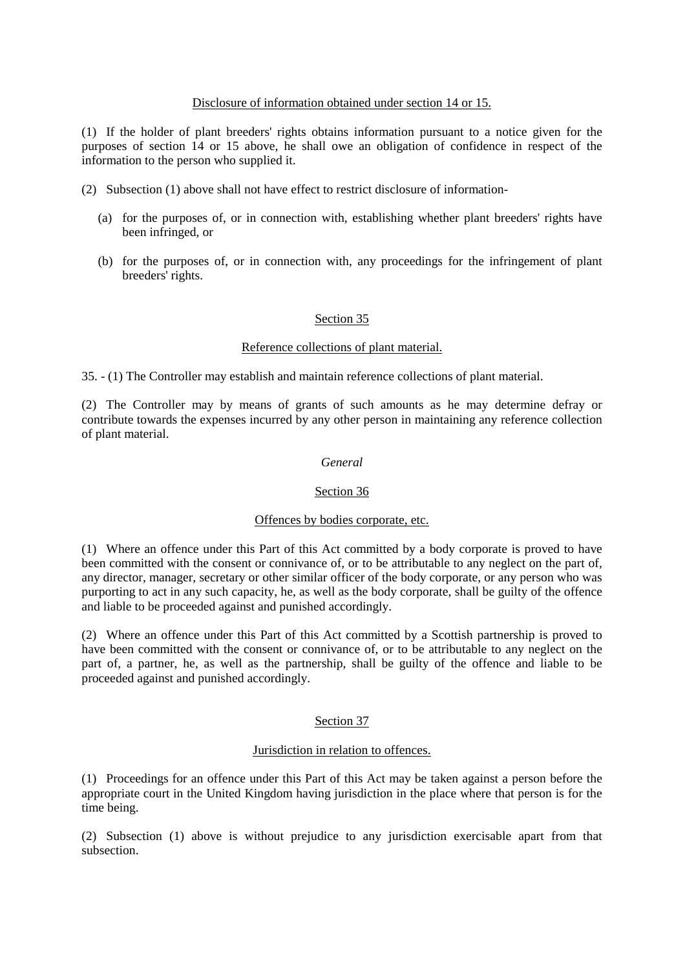## Disclosure of information obtained under section 14 or 15.

(1) If the holder of plant breeders' rights obtains information pursuant to a notice given for the purposes of section 14 or 15 above, he shall owe an obligation of confidence in respect of the information to the person who supplied it.

- (2) Subsection (1) above shall not have effect to restrict disclosure of information-
	- (a) for the purposes of, or in connection with, establishing whether plant breeders' rights have been infringed, or
	- (b) for the purposes of, or in connection with, any proceedings for the infringement of plant breeders' rights.

### Section 35

### Reference collections of plant material.

35. - (1) The Controller may establish and maintain reference collections of plant material.

(2) The Controller may by means of grants of such amounts as he may determine defray or contribute towards the expenses incurred by any other person in maintaining any reference collection of plant material.

## *General*

## Section 36

### Offences by bodies corporate, etc.

(1) Where an offence under this Part of this Act committed by a body corporate is proved to have been committed with the consent or connivance of, or to be attributable to any neglect on the part of, any director, manager, secretary or other similar officer of the body corporate, or any person who was purporting to act in any such capacity, he, as well as the body corporate, shall be guilty of the offence and liable to be proceeded against and punished accordingly.

(2) Where an offence under this Part of this Act committed by a Scottish partnership is proved to have been committed with the consent or connivance of, or to be attributable to any neglect on the part of, a partner, he, as well as the partnership, shall be guilty of the offence and liable to be proceeded against and punished accordingly.

### Section 37

### Jurisdiction in relation to offences.

(1) Proceedings for an offence under this Part of this Act may be taken against a person before the appropriate court in the United Kingdom having jurisdiction in the place where that person is for the time being.

(2) Subsection (1) above is without prejudice to any jurisdiction exercisable apart from that subsection.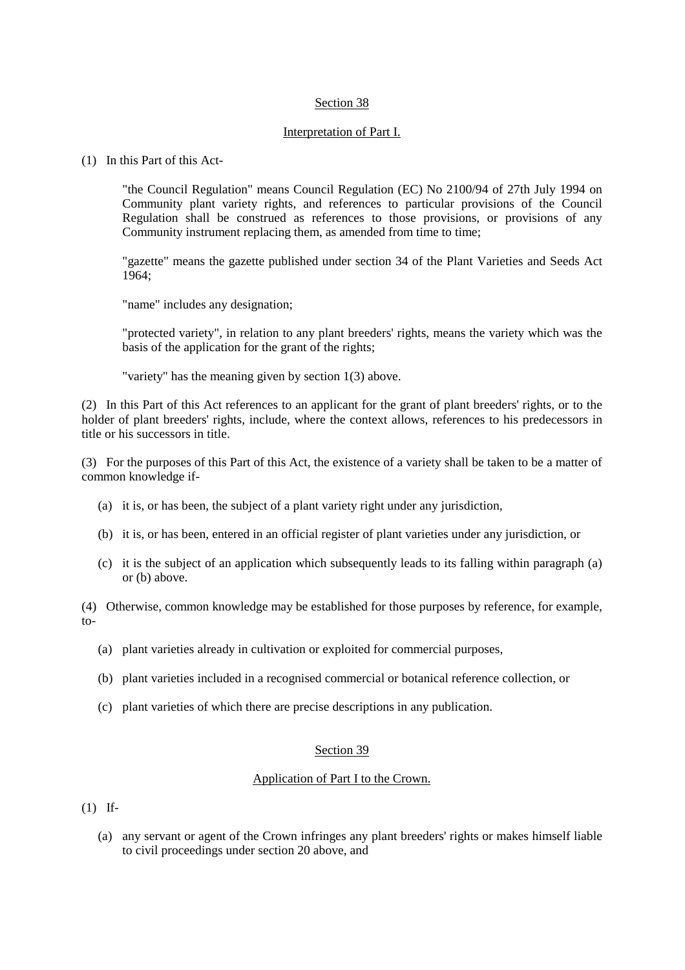# Section 38

# Interpretation of Part I.

## (1) In this Part of this Act-

"the Council Regulation" means Council Regulation (EC) No 2100/94 of 27th July 1994 on Community plant variety rights, and references to particular provisions of the Council Regulation shall be construed as references to those provisions, or provisions of any Community instrument replacing them, as amended from time to time;

"gazette" means the gazette published under section 34 of the Plant Varieties and Seeds Act 1964;

"name" includes any designation;

"protected variety", in relation to any plant breeders' rights, means the variety which was the basis of the application for the grant of the rights;

"variety" has the meaning given by section 1(3) above.

(2) In this Part of this Act references to an applicant for the grant of plant breeders' rights, or to the holder of plant breeders' rights, include, where the context allows, references to his predecessors in title or his successors in title.

(3) For the purposes of this Part of this Act, the existence of a variety shall be taken to be a matter of common knowledge if-

- (a) it is, or has been, the subject of a plant variety right under any jurisdiction,
- (b) it is, or has been, entered in an official register of plant varieties under any jurisdiction, or
- (c) it is the subject of an application which subsequently leads to its falling within paragraph (a) or (b) above.

(4) Otherwise, common knowledge may be established for those purposes by reference, for example, to-

- (a) plant varieties already in cultivation or exploited for commercial purposes,
- (b) plant varieties included in a recognised commercial or botanical reference collection, or
- (c) plant varieties of which there are precise descriptions in any publication.

# Section 39

# Application of Part I to the Crown.

(1) If-

(a) any servant or agent of the Crown infringes any plant breeders' rights or makes himself liable to civil proceedings under section 20 above, and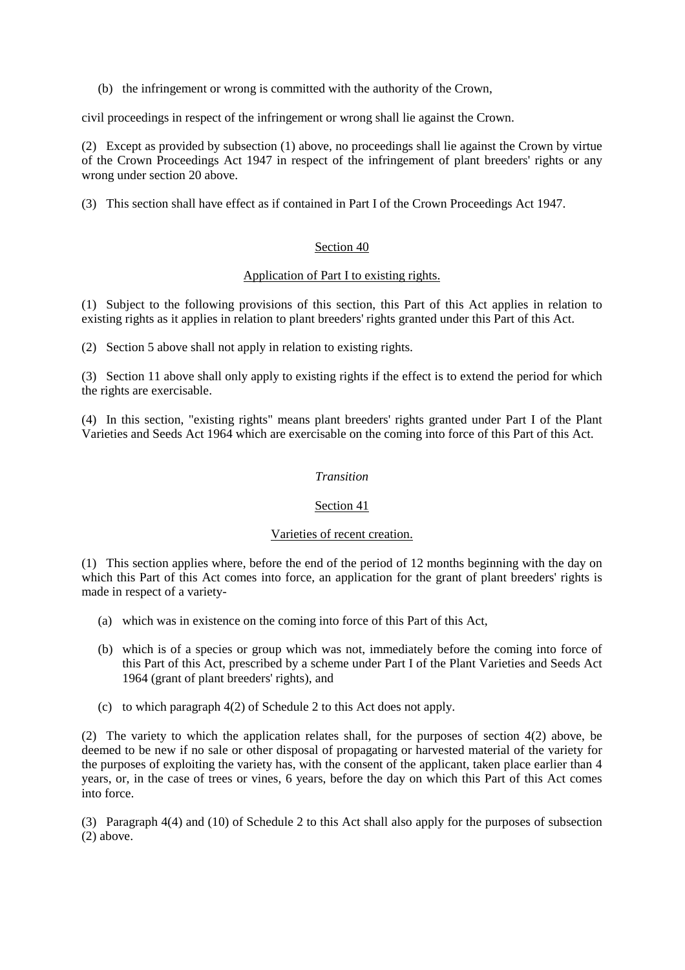(b) the infringement or wrong is committed with the authority of the Crown,

civil proceedings in respect of the infringement or wrong shall lie against the Crown.

(2) Except as provided by subsection (1) above, no proceedings shall lie against the Crown by virtue of the Crown Proceedings Act 1947 in respect of the infringement of plant breeders' rights or any wrong under section 20 above.

(3) This section shall have effect as if contained in Part I of the Crown Proceedings Act 1947.

# Section 40

# Application of Part I to existing rights.

(1) Subject to the following provisions of this section, this Part of this Act applies in relation to existing rights as it applies in relation to plant breeders' rights granted under this Part of this Act.

(2) Section 5 above shall not apply in relation to existing rights.

(3) Section 11 above shall only apply to existing rights if the effect is to extend the period for which the rights are exercisable.

(4) In this section, "existing rights" means plant breeders' rights granted under Part I of the Plant Varieties and Seeds Act 1964 which are exercisable on the coming into force of this Part of this Act.

# *Transition*

# Section 41

# Varieties of recent creation.

(1) This section applies where, before the end of the period of 12 months beginning with the day on which this Part of this Act comes into force, an application for the grant of plant breeders' rights is made in respect of a variety-

- (a) which was in existence on the coming into force of this Part of this Act,
- (b) which is of a species or group which was not, immediately before the coming into force of this Part of this Act, prescribed by a scheme under Part I of the Plant Varieties and Seeds Act 1964 (grant of plant breeders' rights), and
- (c) to which paragraph 4(2) of Schedule 2 to this Act does not apply.

(2) The variety to which the application relates shall, for the purposes of section 4(2) above, be deemed to be new if no sale or other disposal of propagating or harvested material of the variety for the purposes of exploiting the variety has, with the consent of the applicant, taken place earlier than 4 years, or, in the case of trees or vines, 6 years, before the day on which this Part of this Act comes into force.

(3) Paragraph 4(4) and (10) of Schedule 2 to this Act shall also apply for the purposes of subsection (2) above.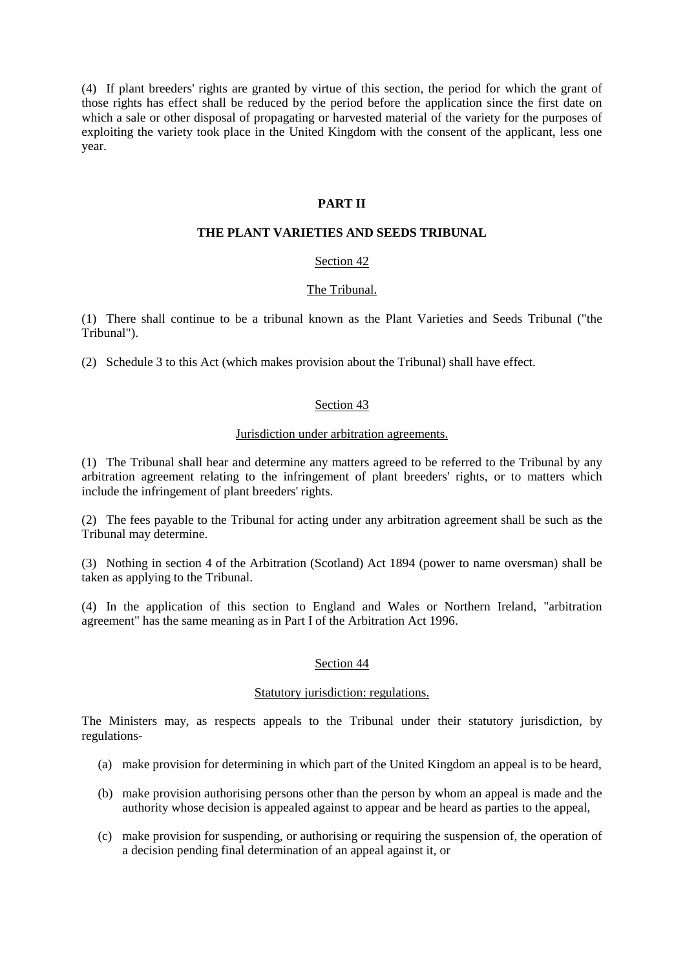(4) If plant breeders' rights are granted by virtue of this section, the period for which the grant of those rights has effect shall be reduced by the period before the application since the first date on which a sale or other disposal of propagating or harvested material of the variety for the purposes of exploiting the variety took place in the United Kingdom with the consent of the applicant, less one year.

# **PART II**

# **THE PLANT VARIETIES AND SEEDS TRIBUNAL**

# Section 42

# The Tribunal.

(1) There shall continue to be a tribunal known as the Plant Varieties and Seeds Tribunal ("the Tribunal").

(2) Schedule 3 to this Act (which makes provision about the Tribunal) shall have effect.

# Section 43

# Jurisdiction under arbitration agreements.

(1) The Tribunal shall hear and determine any matters agreed to be referred to the Tribunal by any arbitration agreement relating to the infringement of plant breeders' rights, or to matters which include the infringement of plant breeders' rights.

(2) The fees payable to the Tribunal for acting under any arbitration agreement shall be such as the Tribunal may determine.

(3) Nothing in section 4 of the Arbitration (Scotland) Act 1894 (power to name oversman) shall be taken as applying to the Tribunal.

(4) In the application of this section to England and Wales or Northern Ireland, "arbitration agreement" has the same meaning as in Part I of the Arbitration Act 1996.

# Section 44

### Statutory jurisdiction: regulations.

The Ministers may, as respects appeals to the Tribunal under their statutory jurisdiction, by regulations-

- (a) make provision for determining in which part of the United Kingdom an appeal is to be heard,
- (b) make provision authorising persons other than the person by whom an appeal is made and the authority whose decision is appealed against to appear and be heard as parties to the appeal,
- (c) make provision for suspending, or authorising or requiring the suspension of, the operation of a decision pending final determination of an appeal against it, or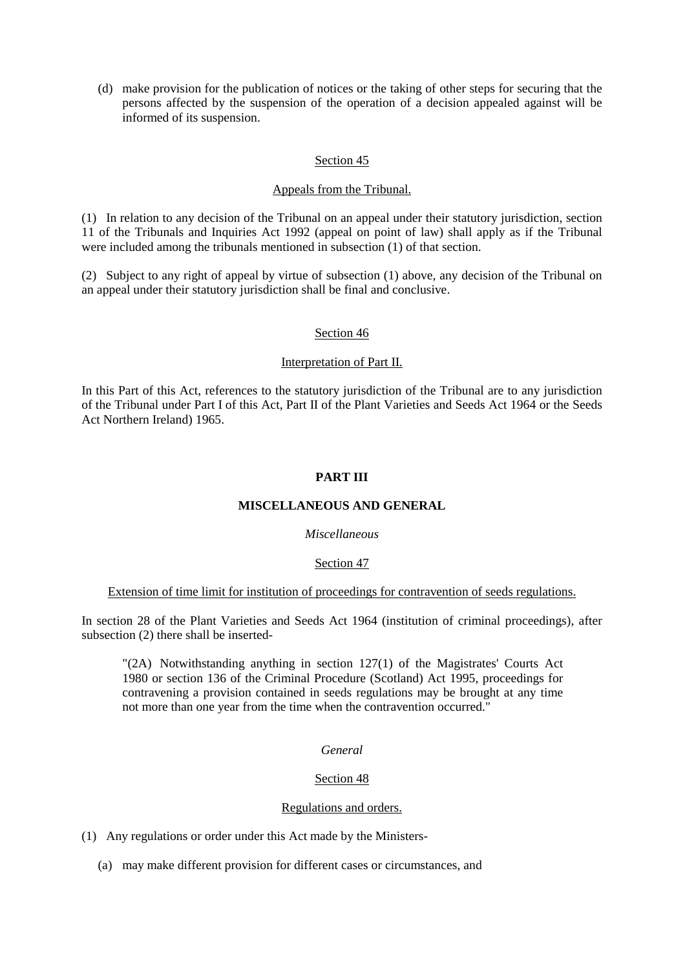(d) make provision for the publication of notices or the taking of other steps for securing that the persons affected by the suspension of the operation of a decision appealed against will be informed of its suspension.

# Section 45

### Appeals from the Tribunal.

(1) In relation to any decision of the Tribunal on an appeal under their statutory jurisdiction, section 11 of the Tribunals and Inquiries Act 1992 (appeal on point of law) shall apply as if the Tribunal were included among the tribunals mentioned in subsection (1) of that section.

(2) Subject to any right of appeal by virtue of subsection (1) above, any decision of the Tribunal on an appeal under their statutory jurisdiction shall be final and conclusive.

### Section 46

## Interpretation of Part II.

In this Part of this Act, references to the statutory jurisdiction of the Tribunal are to any jurisdiction of the Tribunal under Part I of this Act, Part II of the Plant Varieties and Seeds Act 1964 or the Seeds Act Northern Ireland) 1965.

## **PART III**

## **MISCELLANEOUS AND GENERAL**

## *Miscellaneous*

### Section 47

### Extension of time limit for institution of proceedings for contravention of seeds regulations.

In section 28 of the Plant Varieties and Seeds Act 1964 (institution of criminal proceedings), after subsection (2) there shall be inserted-

"(2A) Notwithstanding anything in section 127(1) of the Magistrates' Courts Act 1980 or section 136 of the Criminal Procedure (Scotland) Act 1995, proceedings for contravening a provision contained in seeds regulations may be brought at any time not more than one year from the time when the contravention occurred."

### *General*

# Section 48

### Regulations and orders.

- (1) Any regulations or order under this Act made by the Ministers-
	- (a) may make different provision for different cases or circumstances, and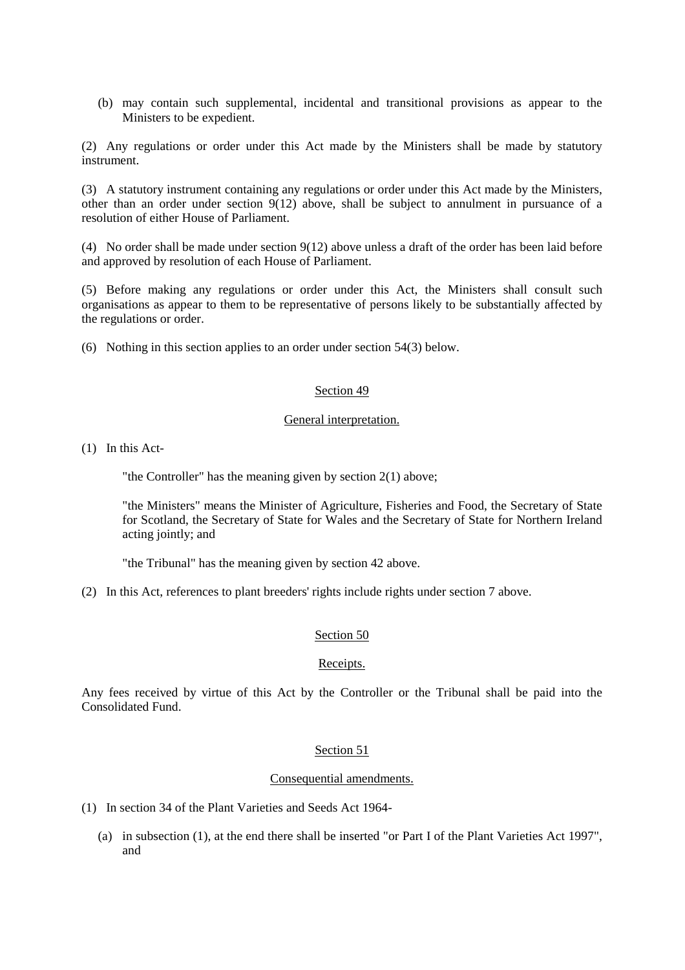(b) may contain such supplemental, incidental and transitional provisions as appear to the Ministers to be expedient.

(2) Any regulations or order under this Act made by the Ministers shall be made by statutory instrument.

(3) A statutory instrument containing any regulations or order under this Act made by the Ministers, other than an order under section  $9(12)$  above, shall be subject to annulment in pursuance of a resolution of either House of Parliament.

(4) No order shall be made under section 9(12) above unless a draft of the order has been laid before and approved by resolution of each House of Parliament.

(5) Before making any regulations or order under this Act, the Ministers shall consult such organisations as appear to them to be representative of persons likely to be substantially affected by the regulations or order.

(6) Nothing in this section applies to an order under section 54(3) below.

## Section 49

### General interpretation.

(1) In this Act-

"the Controller" has the meaning given by section 2(1) above;

"the Ministers" means the Minister of Agriculture, Fisheries and Food, the Secretary of State for Scotland, the Secretary of State for Wales and the Secretary of State for Northern Ireland acting jointly; and

"the Tribunal" has the meaning given by section 42 above.

(2) In this Act, references to plant breeders' rights include rights under section 7 above.

### Section 50

## Receipts.

Any fees received by virtue of this Act by the Controller or the Tribunal shall be paid into the Consolidated Fund.

### Section 51

### Consequential amendments.

- (1) In section 34 of the Plant Varieties and Seeds Act 1964-
	- (a) in subsection (1), at the end there shall be inserted "or Part I of the Plant Varieties Act 1997", and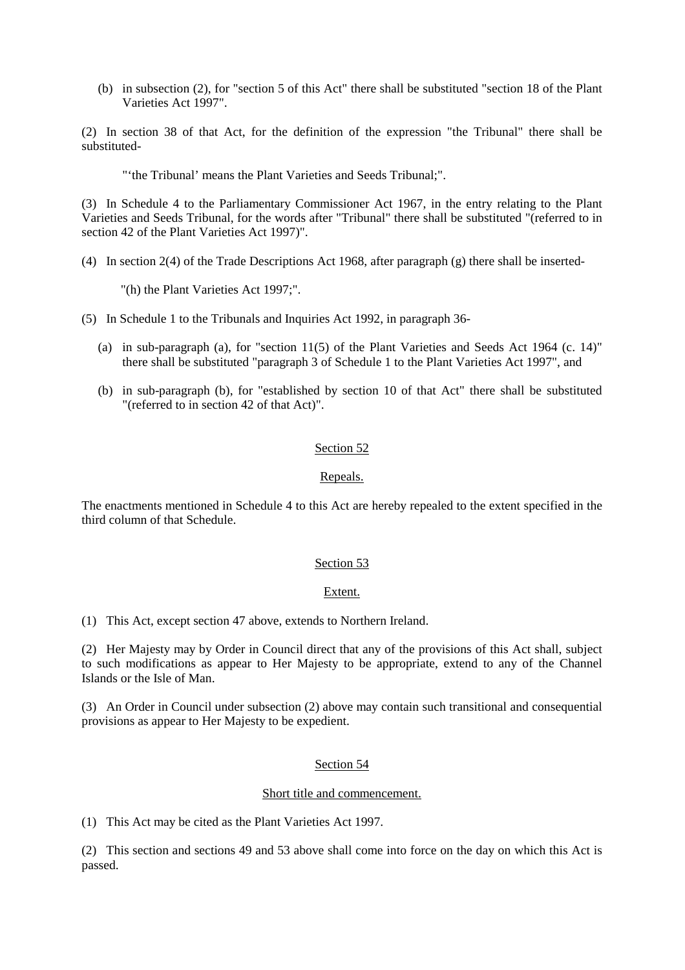(b) in subsection (2), for "section 5 of this Act" there shall be substituted "section 18 of the Plant Varieties Act 1997".

(2) In section 38 of that Act, for the definition of the expression "the Tribunal" there shall be substituted-

"'the Tribunal' means the Plant Varieties and Seeds Tribunal;".

(3) In Schedule 4 to the Parliamentary Commissioner Act 1967, in the entry relating to the Plant Varieties and Seeds Tribunal, for the words after "Tribunal" there shall be substituted "(referred to in section 42 of the Plant Varieties Act 1997)".

(4) In section 2(4) of the Trade Descriptions Act 1968, after paragraph (g) there shall be inserted-

"(h) the Plant Varieties Act 1997;".

(5) In Schedule 1 to the Tribunals and Inquiries Act 1992, in paragraph 36-

- (a) in sub-paragraph (a), for "section 11(5) of the Plant Varieties and Seeds Act 1964 (c. 14)" there shall be substituted "paragraph 3 of Schedule 1 to the Plant Varieties Act 1997", and
- (b) in sub-paragraph (b), for "established by section 10 of that Act" there shall be substituted "(referred to in section 42 of that Act)".

# Section<sub>52</sub>

# Repeals.

The enactments mentioned in Schedule 4 to this Act are hereby repealed to the extent specified in the third column of that Schedule.

# Section 53

### Extent.

(1) This Act, except section 47 above, extends to Northern Ireland.

(2) Her Majesty may by Order in Council direct that any of the provisions of this Act shall, subject to such modifications as appear to Her Majesty to be appropriate, extend to any of the Channel Islands or the Isle of Man.

(3) An Order in Council under subsection (2) above may contain such transitional and consequential provisions as appear to Her Majesty to be expedient.

## Section 54

### Short title and commencement.

(1) This Act may be cited as the Plant Varieties Act 1997.

(2) This section and sections 49 and 53 above shall come into force on the day on which this Act is passed.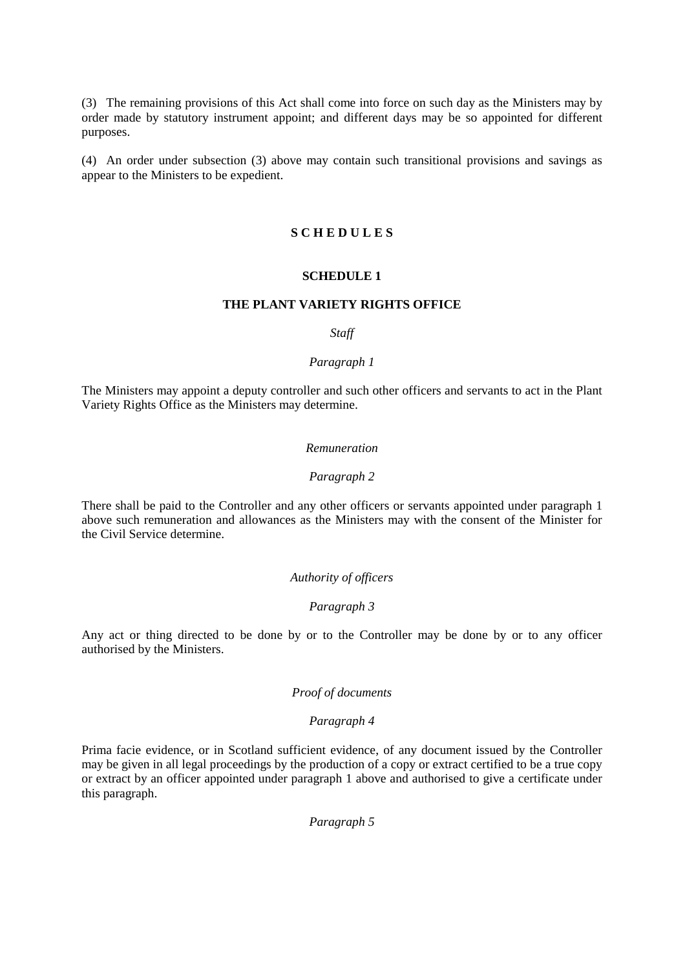(3) The remaining provisions of this Act shall come into force on such day as the Ministers may by order made by statutory instrument appoint; and different days may be so appointed for different purposes.

(4) An order under subsection (3) above may contain such transitional provisions and savings as appear to the Ministers to be expedient.

## **S C H E D U L E S**

### **SCHEDULE 1**

## **THE PLANT VARIETY RIGHTS OFFICE**

## *Staff*

## *Paragraph 1*

The Ministers may appoint a deputy controller and such other officers and servants to act in the Plant Variety Rights Office as the Ministers may determine.

### *Remuneration*

#### *Paragraph 2*

There shall be paid to the Controller and any other officers or servants appointed under paragraph 1 above such remuneration and allowances as the Ministers may with the consent of the Minister for the Civil Service determine.

## *Authority of officers*

### *Paragraph 3*

Any act or thing directed to be done by or to the Controller may be done by or to any officer authorised by the Ministers.

## *Proof of documents*

### *Paragraph 4*

Prima facie evidence, or in Scotland sufficient evidence, of any document issued by the Controller may be given in all legal proceedings by the production of a copy or extract certified to be a true copy or extract by an officer appointed under paragraph 1 above and authorised to give a certificate under this paragraph.

*Paragraph 5*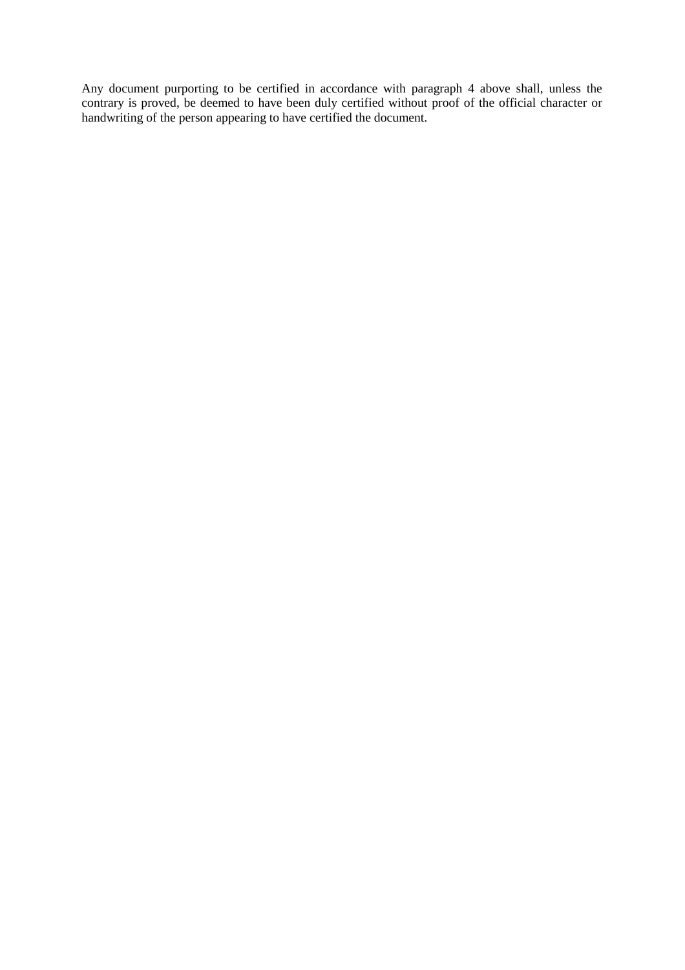Any document purporting to be certified in accordance with paragraph 4 above shall, unless the contrary is proved, be deemed to have been duly certified without proof of the official character or handwriting of the person appearing to have certified the document.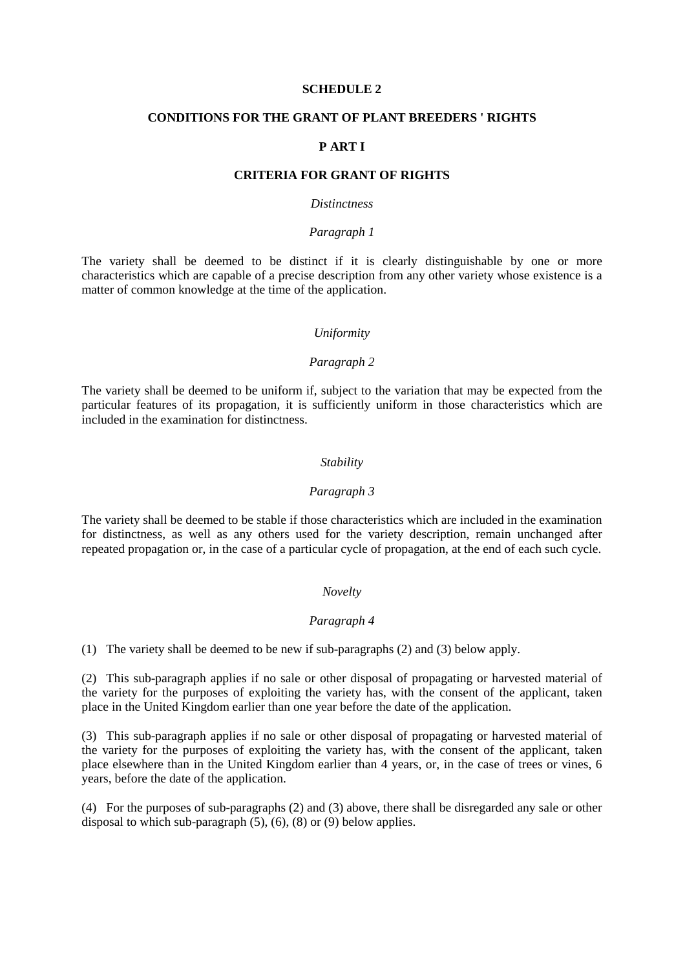### **SCHEDULE 2**

## **CONDITIONS FOR THE GRANT OF PLANT BREEDERS ' RIGHTS**

# **P ART I**

### **CRITERIA FOR GRANT OF RIGHTS**

### *Distinctness*

#### *Paragraph 1*

The variety shall be deemed to be distinct if it is clearly distinguishable by one or more characteristics which are capable of a precise description from any other variety whose existence is a matter of common knowledge at the time of the application.

#### *Uniformity*

### *Paragraph 2*

The variety shall be deemed to be uniform if, subject to the variation that may be expected from the particular features of its propagation, it is sufficiently uniform in those characteristics which are included in the examination for distinctness.

### *Stability*

### *Paragraph 3*

The variety shall be deemed to be stable if those characteristics which are included in the examination for distinctness, as well as any others used for the variety description, remain unchanged after repeated propagation or, in the case of a particular cycle of propagation, at the end of each such cycle.

## *Novelty*

## *Paragraph 4*

(1) The variety shall be deemed to be new if sub-paragraphs (2) and (3) below apply.

(2) This sub-paragraph applies if no sale or other disposal of propagating or harvested material of the variety for the purposes of exploiting the variety has, with the consent of the applicant, taken place in the United Kingdom earlier than one year before the date of the application.

(3) This sub-paragraph applies if no sale or other disposal of propagating or harvested material of the variety for the purposes of exploiting the variety has, with the consent of the applicant, taken place elsewhere than in the United Kingdom earlier than 4 years, or, in the case of trees or vines, 6 years, before the date of the application.

(4) For the purposes of sub-paragraphs (2) and (3) above, there shall be disregarded any sale or other disposal to which sub-paragraph  $(5)$ ,  $(6)$ ,  $(8)$  or  $(9)$  below applies.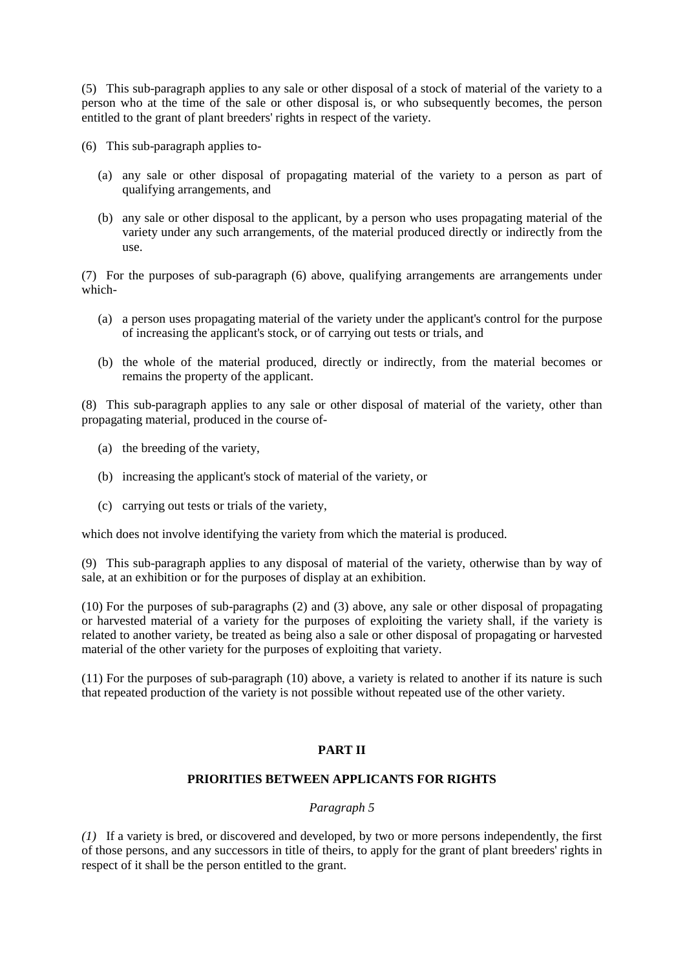(5) This sub-paragraph applies to any sale or other disposal of a stock of material of the variety to a person who at the time of the sale or other disposal is, or who subsequently becomes, the person entitled to the grant of plant breeders' rights in respect of the variety.

(6) This sub-paragraph applies to-

- (a) any sale or other disposal of propagating material of the variety to a person as part of qualifying arrangements, and
- (b) any sale or other disposal to the applicant, by a person who uses propagating material of the variety under any such arrangements, of the material produced directly or indirectly from the use.

(7) For the purposes of sub-paragraph (6) above, qualifying arrangements are arrangements under which-

- (a) a person uses propagating material of the variety under the applicant's control for the purpose of increasing the applicant's stock, or of carrying out tests or trials, and
- (b) the whole of the material produced, directly or indirectly, from the material becomes or remains the property of the applicant.

(8) This sub-paragraph applies to any sale or other disposal of material of the variety, other than propagating material, produced in the course of-

- (a) the breeding of the variety,
- (b) increasing the applicant's stock of material of the variety, or
- (c) carrying out tests or trials of the variety,

which does not involve identifying the variety from which the material is produced.

(9) This sub-paragraph applies to any disposal of material of the variety, otherwise than by way of sale, at an exhibition or for the purposes of display at an exhibition.

(10) For the purposes of sub-paragraphs (2) and (3) above, any sale or other disposal of propagating or harvested material of a variety for the purposes of exploiting the variety shall, if the variety is related to another variety, be treated as being also a sale or other disposal of propagating or harvested material of the other variety for the purposes of exploiting that variety.

(11) For the purposes of sub-paragraph (10) above, a variety is related to another if its nature is such that repeated production of the variety is not possible without repeated use of the other variety.

# **PART II**

# **PRIORITIES BETWEEN APPLICANTS FOR RIGHTS**

## *Paragraph 5*

*(1)* If a variety is bred, or discovered and developed, by two or more persons independently, the first of those persons, and any successors in title of theirs, to apply for the grant of plant breeders' rights in respect of it shall be the person entitled to the grant.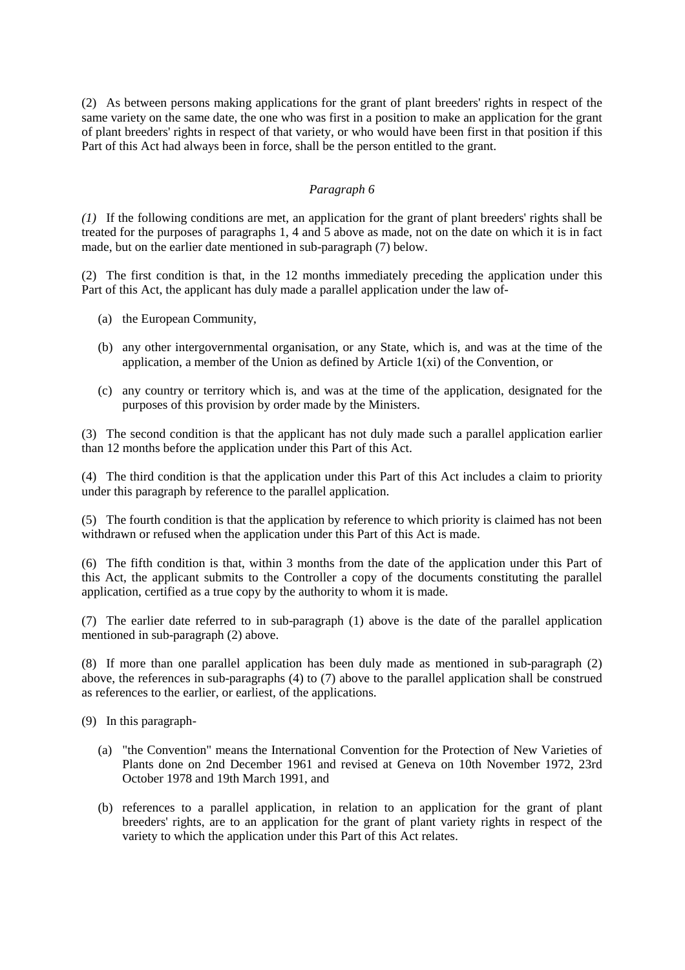(2) As between persons making applications for the grant of plant breeders' rights in respect of the same variety on the same date, the one who was first in a position to make an application for the grant of plant breeders' rights in respect of that variety, or who would have been first in that position if this Part of this Act had always been in force, shall be the person entitled to the grant.

# *Paragraph 6*

*(1)* If the following conditions are met, an application for the grant of plant breeders' rights shall be treated for the purposes of paragraphs 1, 4 and 5 above as made, not on the date on which it is in fact made, but on the earlier date mentioned in sub-paragraph (7) below.

(2) The first condition is that, in the 12 months immediately preceding the application under this Part of this Act, the applicant has duly made a parallel application under the law of-

- (a) the European Community,
- (b) any other intergovernmental organisation, or any State, which is, and was at the time of the application, a member of the Union as defined by Article 1(xi) of the Convention, or
- (c) any country or territory which is, and was at the time of the application, designated for the purposes of this provision by order made by the Ministers.

(3) The second condition is that the applicant has not duly made such a parallel application earlier than 12 months before the application under this Part of this Act.

(4) The third condition is that the application under this Part of this Act includes a claim to priority under this paragraph by reference to the parallel application.

(5) The fourth condition is that the application by reference to which priority is claimed has not been withdrawn or refused when the application under this Part of this Act is made.

(6) The fifth condition is that, within 3 months from the date of the application under this Part of this Act, the applicant submits to the Controller a copy of the documents constituting the parallel application, certified as a true copy by the authority to whom it is made.

(7) The earlier date referred to in sub-paragraph (1) above is the date of the parallel application mentioned in sub-paragraph (2) above.

(8) If more than one parallel application has been duly made as mentioned in sub-paragraph (2) above, the references in sub-paragraphs (4) to (7) above to the parallel application shall be construed as references to the earlier, or earliest, of the applications.

(9) In this paragraph-

- (a) "the Convention" means the International Convention for the Protection of New Varieties of Plants done on 2nd December 1961 and revised at Geneva on 10th November 1972, 23rd October 1978 and 19th March 1991, and
- (b) references to a parallel application, in relation to an application for the grant of plant breeders' rights, are to an application for the grant of plant variety rights in respect of the variety to which the application under this Part of this Act relates.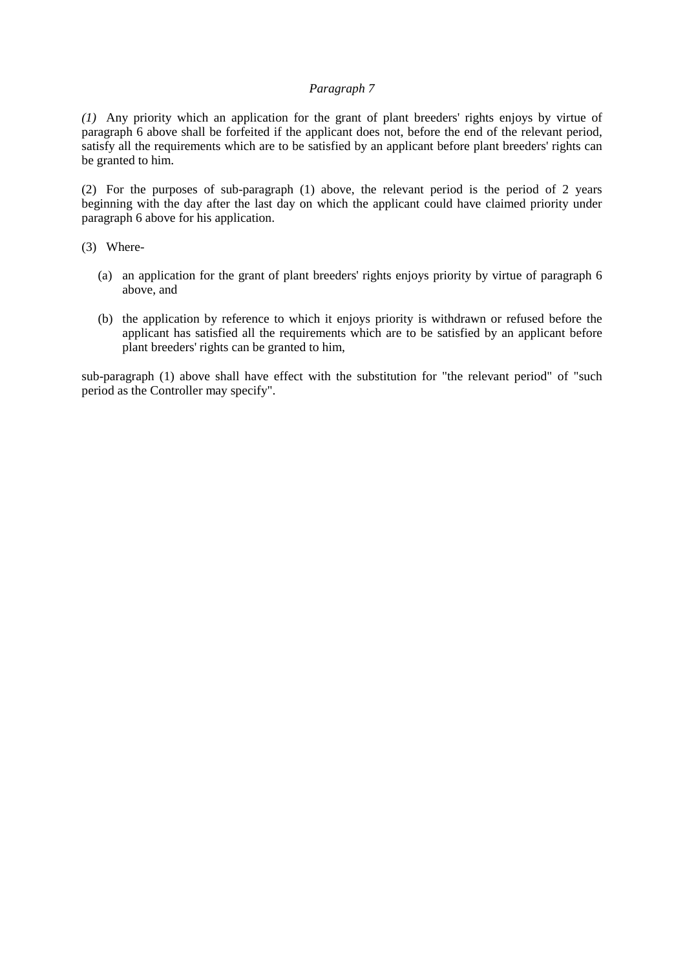# *Paragraph 7*

*(1)* Any priority which an application for the grant of plant breeders' rights enjoys by virtue of paragraph 6 above shall be forfeited if the applicant does not, before the end of the relevant period, satisfy all the requirements which are to be satisfied by an applicant before plant breeders' rights can be granted to him.

(2) For the purposes of sub-paragraph (1) above, the relevant period is the period of 2 years beginning with the day after the last day on which the applicant could have claimed priority under paragraph 6 above for his application.

(3) Where-

- (a) an application for the grant of plant breeders' rights enjoys priority by virtue of paragraph 6 above, and
- (b) the application by reference to which it enjoys priority is withdrawn or refused before the applicant has satisfied all the requirements which are to be satisfied by an applicant before plant breeders' rights can be granted to him,

sub-paragraph (1) above shall have effect with the substitution for "the relevant period" of "such period as the Controller may specify".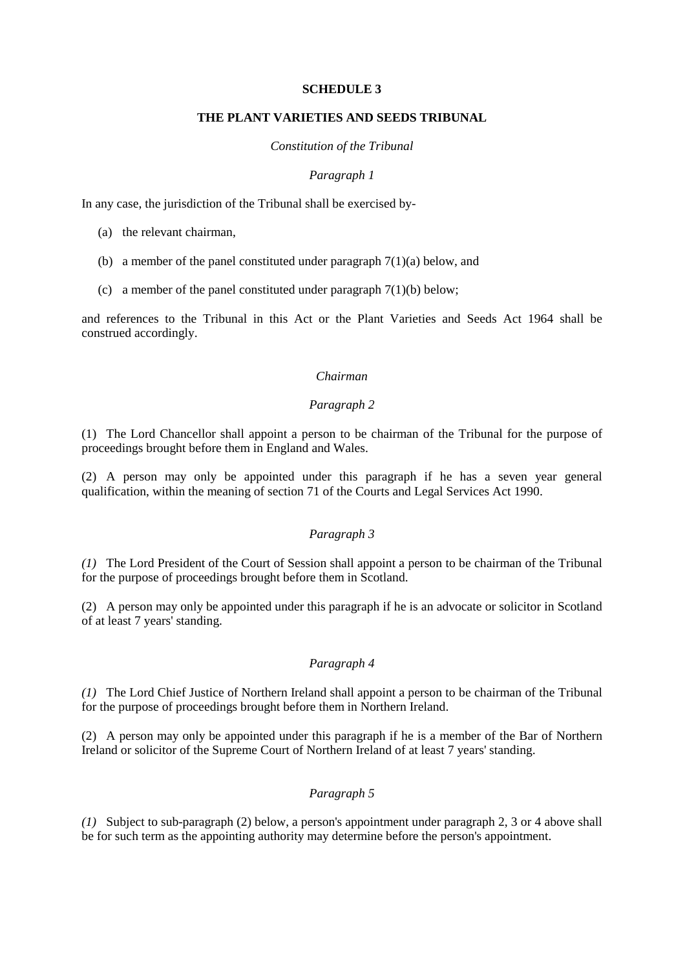## **SCHEDULE 3**

## **THE PLANT VARIETIES AND SEEDS TRIBUNAL**

### *Constitution of the Tribunal*

## *Paragraph 1*

In any case, the jurisdiction of the Tribunal shall be exercised by-

- (a) the relevant chairman,
- (b) a member of the panel constituted under paragraph 7(1)(a) below, and
- (c) a member of the panel constituted under paragraph  $7(1)(b)$  below;

and references to the Tribunal in this Act or the Plant Varieties and Seeds Act 1964 shall be construed accordingly.

# *Chairman*

# *Paragraph 2*

(1) The Lord Chancellor shall appoint a person to be chairman of the Tribunal for the purpose of proceedings brought before them in England and Wales.

(2) A person may only be appointed under this paragraph if he has a seven year general qualification, within the meaning of section 71 of the Courts and Legal Services Act 1990.

# *Paragraph 3*

*(1)* The Lord President of the Court of Session shall appoint a person to be chairman of the Tribunal for the purpose of proceedings brought before them in Scotland.

(2) A person may only be appointed under this paragraph if he is an advocate or solicitor in Scotland of at least 7 years' standing.

# *Paragraph 4*

*(1)* The Lord Chief Justice of Northern Ireland shall appoint a person to be chairman of the Tribunal for the purpose of proceedings brought before them in Northern Ireland.

(2) A person may only be appointed under this paragraph if he is a member of the Bar of Northern Ireland or solicitor of the Supreme Court of Northern Ireland of at least 7 years' standing.

# *Paragraph 5*

*(1)* Subject to sub-paragraph (2) below, a person's appointment under paragraph 2, 3 or 4 above shall be for such term as the appointing authority may determine before the person's appointment.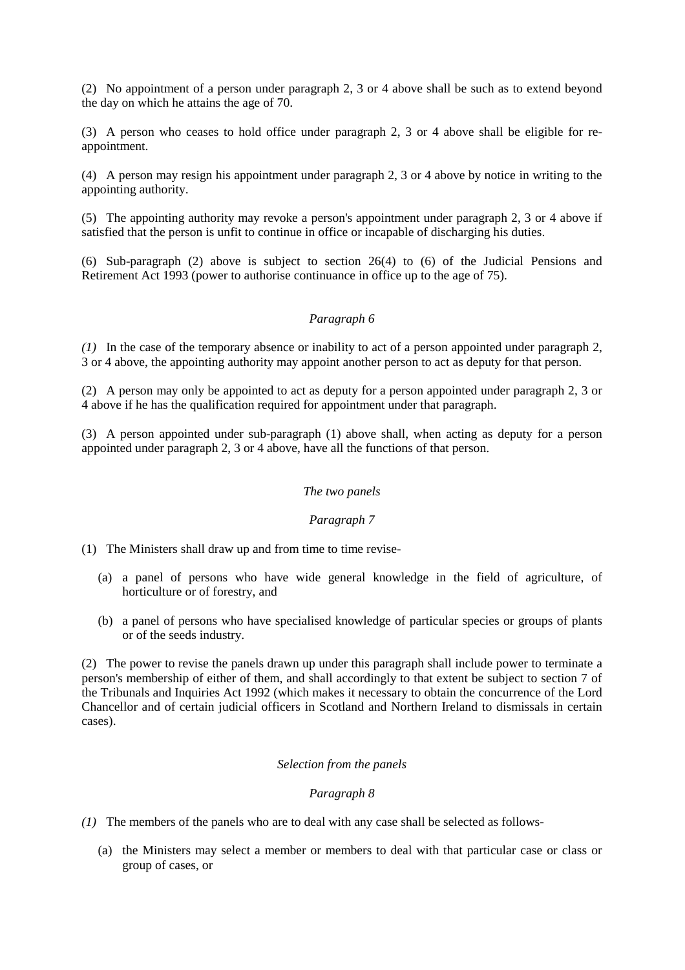(2) No appointment of a person under paragraph 2, 3 or 4 above shall be such as to extend beyond the day on which he attains the age of 70.

(3) A person who ceases to hold office under paragraph 2, 3 or 4 above shall be eligible for reappointment.

(4) A person may resign his appointment under paragraph 2, 3 or 4 above by notice in writing to the appointing authority.

(5) The appointing authority may revoke a person's appointment under paragraph 2, 3 or 4 above if satisfied that the person is unfit to continue in office or incapable of discharging his duties.

(6) Sub-paragraph (2) above is subject to section 26(4) to (6) of the Judicial Pensions and Retirement Act 1993 (power to authorise continuance in office up to the age of 75).

# *Paragraph 6*

*(1)* In the case of the temporary absence or inability to act of a person appointed under paragraph 2, 3 or 4 above, the appointing authority may appoint another person to act as deputy for that person.

(2) A person may only be appointed to act as deputy for a person appointed under paragraph 2, 3 or 4 above if he has the qualification required for appointment under that paragraph.

(3) A person appointed under sub-paragraph (1) above shall, when acting as deputy for a person appointed under paragraph 2, 3 or 4 above, have all the functions of that person.

# *The two panels*

# *Paragraph 7*

(1) The Ministers shall draw up and from time to time revise-

- (a) a panel of persons who have wide general knowledge in the field of agriculture, of horticulture or of forestry, and
- (b) a panel of persons who have specialised knowledge of particular species or groups of plants or of the seeds industry.

(2) The power to revise the panels drawn up under this paragraph shall include power to terminate a person's membership of either of them, and shall accordingly to that extent be subject to section 7 of the Tribunals and Inquiries Act 1992 (which makes it necessary to obtain the concurrence of the Lord Chancellor and of certain judicial officers in Scotland and Northern Ireland to dismissals in certain cases).

### *Selection from the panels*

# *Paragraph 8*

- *(1)* The members of the panels who are to deal with any case shall be selected as follows-
	- (a) the Ministers may select a member or members to deal with that particular case or class or group of cases, or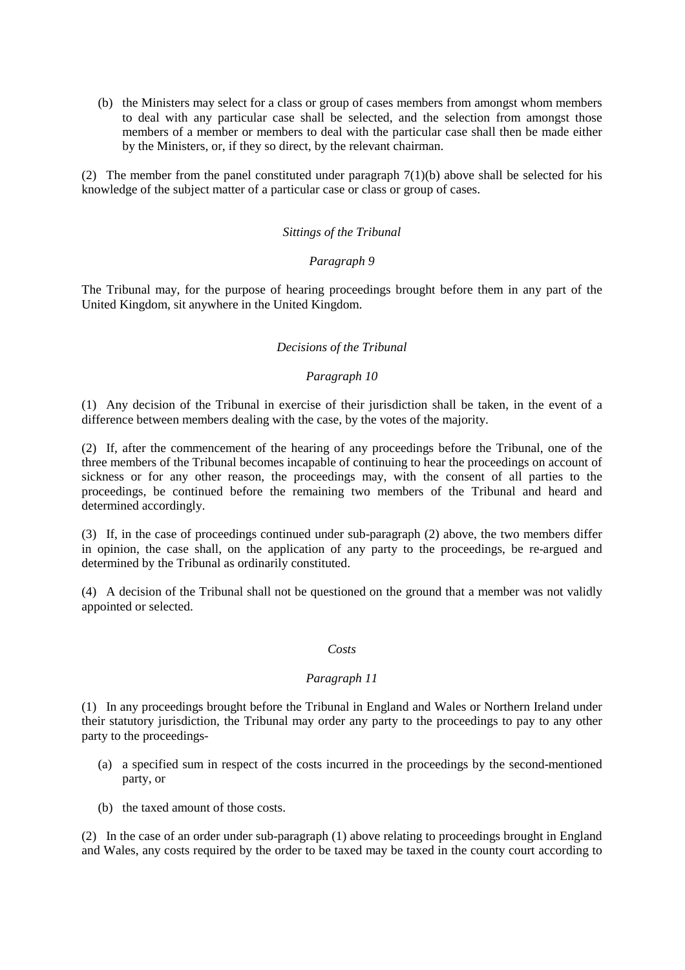(b) the Ministers may select for a class or group of cases members from amongst whom members to deal with any particular case shall be selected, and the selection from amongst those members of a member or members to deal with the particular case shall then be made either by the Ministers, or, if they so direct, by the relevant chairman.

(2) The member from the panel constituted under paragraph 7(1)(b) above shall be selected for his knowledge of the subject matter of a particular case or class or group of cases.

### *Sittings of the Tribunal*

## *Paragraph 9*

The Tribunal may, for the purpose of hearing proceedings brought before them in any part of the United Kingdom, sit anywhere in the United Kingdom.

## *Decisions of the Tribunal*

## *Paragraph 10*

(1) Any decision of the Tribunal in exercise of their jurisdiction shall be taken, in the event of a difference between members dealing with the case, by the votes of the majority.

(2) If, after the commencement of the hearing of any proceedings before the Tribunal, one of the three members of the Tribunal becomes incapable of continuing to hear the proceedings on account of sickness or for any other reason, the proceedings may, with the consent of all parties to the proceedings, be continued before the remaining two members of the Tribunal and heard and determined accordingly.

(3) If, in the case of proceedings continued under sub-paragraph (2) above, the two members differ in opinion, the case shall, on the application of any party to the proceedings, be re-argued and determined by the Tribunal as ordinarily constituted.

(4) A decision of the Tribunal shall not be questioned on the ground that a member was not validly appointed or selected.

### *Costs*

# *Paragraph 11*

(1) In any proceedings brought before the Tribunal in England and Wales or Northern Ireland under their statutory jurisdiction, the Tribunal may order any party to the proceedings to pay to any other party to the proceedings-

- (a) a specified sum in respect of the costs incurred in the proceedings by the second-mentioned party, or
- (b) the taxed amount of those costs.

(2) In the case of an order under sub-paragraph (1) above relating to proceedings brought in England and Wales, any costs required by the order to be taxed may be taxed in the county court according to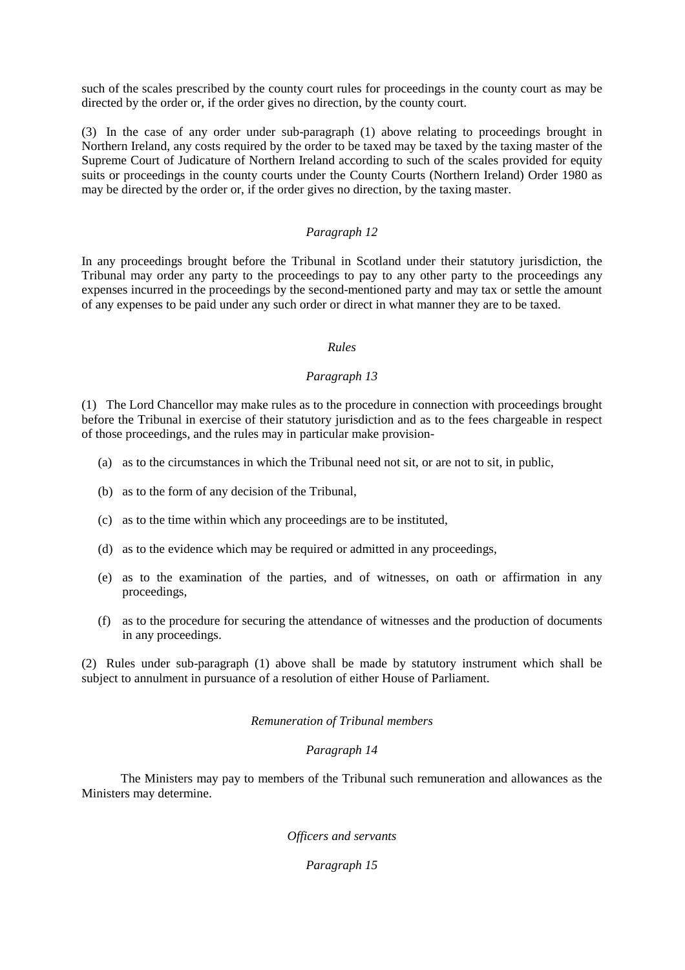such of the scales prescribed by the county court rules for proceedings in the county court as may be directed by the order or, if the order gives no direction, by the county court.

(3) In the case of any order under sub-paragraph (1) above relating to proceedings brought in Northern Ireland, any costs required by the order to be taxed may be taxed by the taxing master of the Supreme Court of Judicature of Northern Ireland according to such of the scales provided for equity suits or proceedings in the county courts under the County Courts (Northern Ireland) Order 1980 as may be directed by the order or, if the order gives no direction, by the taxing master.

# *Paragraph 12*

In any proceedings brought before the Tribunal in Scotland under their statutory jurisdiction, the Tribunal may order any party to the proceedings to pay to any other party to the proceedings any expenses incurred in the proceedings by the second-mentioned party and may tax or settle the amount of any expenses to be paid under any such order or direct in what manner they are to be taxed.

## *Rules*

## *Paragraph 13*

(1) The Lord Chancellor may make rules as to the procedure in connection with proceedings brought before the Tribunal in exercise of their statutory jurisdiction and as to the fees chargeable in respect of those proceedings, and the rules may in particular make provision-

- (a) as to the circumstances in which the Tribunal need not sit, or are not to sit, in public,
- (b) as to the form of any decision of the Tribunal,
- (c) as to the time within which any proceedings are to be instituted,
- (d) as to the evidence which may be required or admitted in any proceedings,
- (e) as to the examination of the parties, and of witnesses, on oath or affirmation in any proceedings,
- (f) as to the procedure for securing the attendance of witnesses and the production of documents in any proceedings.

(2) Rules under sub-paragraph (1) above shall be made by statutory instrument which shall be subject to annulment in pursuance of a resolution of either House of Parliament.

#### *Remuneration of Tribunal members*

### *Paragraph 14*

The Ministers may pay to members of the Tribunal such remuneration and allowances as the Ministers may determine.

*Officers and servants*

*Paragraph 15*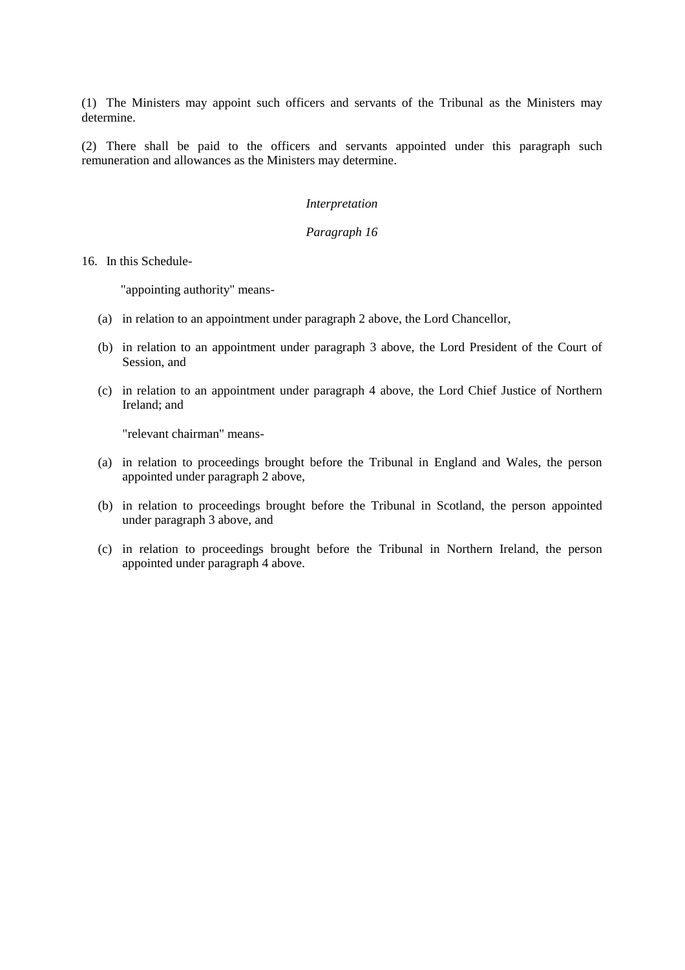(1) The Ministers may appoint such officers and servants of the Tribunal as the Ministers may determine.

(2) There shall be paid to the officers and servants appointed under this paragraph such remuneration and allowances as the Ministers may determine.

# *Interpretation*

# *Paragraph 16*

16. In this Schedule-

"appointing authority" means-

- (a) in relation to an appointment under paragraph 2 above, the Lord Chancellor,
- (b) in relation to an appointment under paragraph 3 above, the Lord President of the Court of Session, and
- (c) in relation to an appointment under paragraph 4 above, the Lord Chief Justice of Northern Ireland; and

"relevant chairman" means-

- (a) in relation to proceedings brought before the Tribunal in England and Wales, the person appointed under paragraph 2 above,
- (b) in relation to proceedings brought before the Tribunal in Scotland, the person appointed under paragraph 3 above, and
- (c) in relation to proceedings brought before the Tribunal in Northern Ireland, the person appointed under paragraph 4 above.